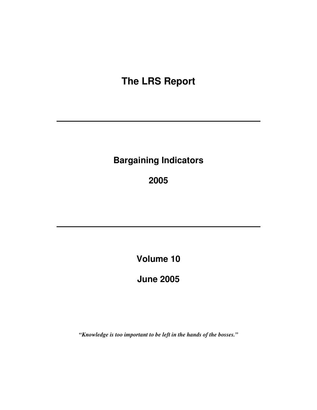# **The LRS Report**

# **Bargaining Indicators**

**2005** 

**Volume 10** 

**June 2005** 

*"Knowledge is too important to be left in the hands of the bosses."*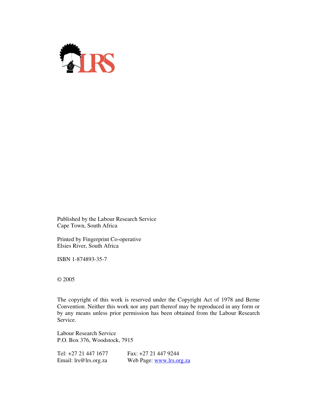

Published by the Labour Research Service Cape Town, South Africa

Printed by Fingerprint Co-operative Elsies River, South Africa

ISBN 1-874893-35-7

© 2005

The copyright of this work is reserved under the Copyright Act of 1978 and Berne Convention. Neither this work nor any part thereof may be reproduced in any form or by any means unless prior permission has been obtained from the Labour Research Service.

Labour Research Service P.O. Box 376, Woodstock, 7915

| Tel: +27 21 447 1677  | Fax: $+27$ 21 447 9244   |
|-----------------------|--------------------------|
| Email: lrs@lrs.org.za | Web Page: www.lrs.org.za |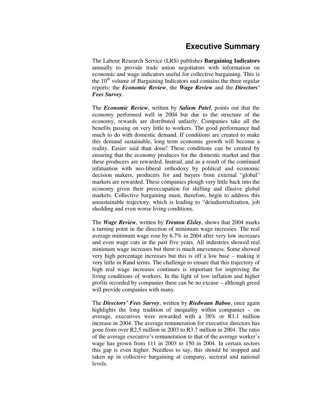#### **Executive Summary**

The Labour Research Service (LRS) publishes **Bargaining Indicators** annually to provide trade union negotiators with information on economic and wage indicators useful for collective bargaining. This is the  $10<sup>th</sup>$  volume of Bargaining Indicators and contains the three regular reports: the *Economic Review*, the *Wage Review* and the *Directors' Fees Survey*.

The *Economic Review*, written by *Saliem Patel*, points out that the economy performed well in 2004 but due to the structure of the economy, rewards are distributed unfairly. Companies take all the benefits passing on very little to workers. The good performance had much to do with domestic demand. If conditions are created to make this demand sustainable, long term economic growth will become a reality. Easier said than done! These conditions can be created by ensuring that the economy produces for the domestic market and that these producers are rewarded. Instead, and as a result of the continued infatuation with neo-liberal orthodoxy by political and economic decision makers, producers for and buyers from external "global" markets are rewarded. These companies plough very little back into the economy given their preoccupation for shifting and illusive global markets. Collective bargaining must, therefore, begin to address this unsustainable trajectory, which is leading to "deindustrialization, job shedding and even worse living conditions.

The *Wage Review*, written by *Trenton Elsley*, shows that 2004 marks a turning point in the direction of minimum wage increases. The real average minimum wage rose by 6.7% in 2004 after very low increases and even wage cuts in the past five years. All industries showed real minimum wage increases but there is much unevenness. Some showed very high percentage increases but this is off a low base – making it very little in Rand terms. The challenge to ensure that this trajectory of high real wage increases continues is important for improving the living conditions of workers. In the light of low inflation and higher profits recorded by companies there can be no excuse – although greed will provide companies with many.

The *Directors' Fees Survey*, written by *Riedwaan Baboo*, once again highlights the long tradition of inequality within companies – on average, executives were rewarded with a 38% or R1.1 million increase in 2004. The average remuneration for executive directors has gone from over R2.5 million in 2003 to R3.7 million in 2004. The ratio of the average executive's remuneration to that of the average worker's wage has grown from 111 in 2003 to 150 in 2004. In certain sectors this gap is even higher. Needless to say, this should be stopped and taken up in collective bargaining at company, sectoral and national levels.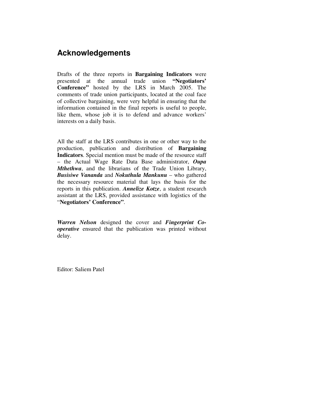#### **Acknowledgements**

Drafts of the three reports in **Bargaining Indicators** were presented at the annual trade union **"Negotiators' Conference"** hosted by the LRS in March 2005. The comments of trade union participants, located at the coal face of collective bargaining, were very helpful in ensuring that the information contained in the final reports is useful to people, like them, whose job it is to defend and advance workers' interests on a daily basis.

All the staff at the LRS contributes in one or other way to the production, publication and distribution of **Bargaining Indicators**. Special mention must be made of the resource staff – the Actual Wage Rate Data Base administrator, *Oupa Mthethwa*, and the librarians of the Trade Union Library, *Busisiwe Vananda* and *Nokuthula Mankunu* – who gathered the necessary resource material that lays the basis for the reports in this publication. *Annelize Kotze*, a student research assistant at the LRS, provided assistance with logistics of the "**Negotiators' Conference"**.

*Warren Nelson* designed the cover and *Fingerprint Cooperative* ensured that the publication was printed without delay.

Editor: Saliem Patel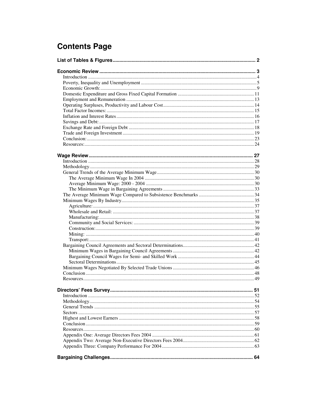# **Contents Page**

| .51 |
|-----|
|     |
|     |
|     |
|     |
|     |
|     |
|     |
|     |
|     |
|     |
|     |
|     |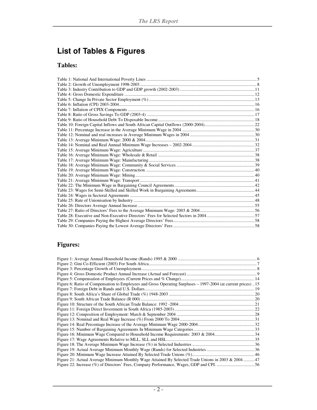# **List of Tables & Figures**

#### **Tables:**

### **Figures:**

| Figure 6: Ratio of Compensation to Employees and Gross Operating Surpluses - 1997-2004 (at current prices) 15 |  |
|---------------------------------------------------------------------------------------------------------------|--|
|                                                                                                               |  |
|                                                                                                               |  |
|                                                                                                               |  |
|                                                                                                               |  |
|                                                                                                               |  |
|                                                                                                               |  |
|                                                                                                               |  |
|                                                                                                               |  |
|                                                                                                               |  |
|                                                                                                               |  |
|                                                                                                               |  |
|                                                                                                               |  |
|                                                                                                               |  |
|                                                                                                               |  |
| Figure 21: Actual Average Minimum Monthly Wage Attained By Selected Trade Unions in 2003 & 2004 47            |  |
|                                                                                                               |  |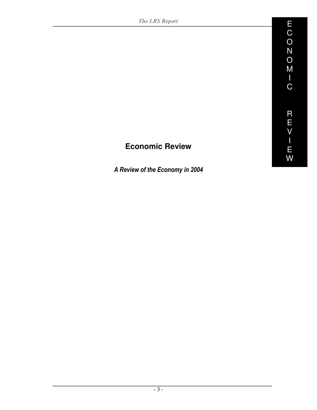# **Economic Review**

A Review of the Economy in 2004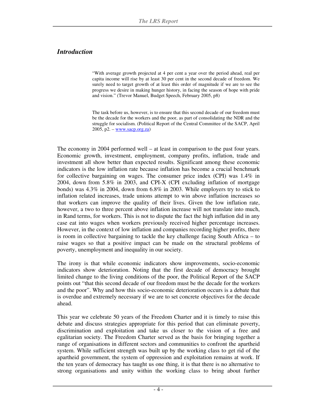#### *Introduction*

"With average growth projected at 4 per cent a year over the period ahead, real per capita income will rise by at least 30 per cent in the second decade of freedom. We surely need to target growth of at least this order of magnitude if we are to see the progress we desire in making hunger history, in facing the season of hope with pride and vision." (Trevor Manuel, Budget Speech, February 2005, p8)

The task before us, however, is to ensure that this second decade of our freedom must be the decade for the workers and the poor, as part of consolidating the NDR and the struggle for socialism. (Political Report of the Central Committee of the SACP, April  $2005$ , p2. – www.sacp.org.za)

The economy in 2004 performed well – at least in comparison to the past four years. Economic growth, investment, employment, company profits, inflation, trade and investment all show better than expected results. Significant among these economic indicators is the low inflation rate because inflation has become a crucial benchmark for collective bargaining on wages. The consumer price index (CPI) was 1.4% in 2004, down from 5.8% in 2003, and CPI-X (CPI excluding inflation of mortgage bonds) was 4.3% in 2004, down from 6.8% in 2003. While employers try to stick to inflation related increases, trade unions attempt to win above inflation increases so that workers can improve the quality of their lives. Given the low inflation rate, however, a two to three percent above inflation increase will not translate into much, in Rand terms, for workers. This is not to dispute the fact the high inflation did in any case eat into wages when workers previously received higher percentage increases. However, in the context of low inflation and companies recording higher profits, there is room in collective bargaining to tackle the key challenge facing South Africa – to raise wages so that a positive impact can be made on the structural problems of poverty, unemployment and inequality in our society.

The irony is that while economic indicators show improvements, socio-economic indicators show deterioration. Noting that the first decade of democracy brought limited change to the living conditions of the poor, the Political Report of the SACP points out "that this second decade of our freedom must be the decade for the workers and the poor". Why and how this socio-economic deterioration occurs is a debate that is overdue and extremely necessary if we are to set concrete objectives for the decade ahead.

This year we celebrate 50 years of the Freedom Charter and it is timely to raise this debate and discuss strategies appropriate for this period that can eliminate poverty, discrimination and exploitation and take us closer to the vision of a free and egalitarian society. The Freedom Charter served as the basis for bringing together a range of organisations in different sectors and communities to confront the apartheid system. While sufficient strength was built up by the working class to get rid of the apartheid government, the system of oppression and exploitation remains at work. If the ten years of democracy has taught us one thing, it is that there is no alternative to strong organisations and unity within the working class to bring about further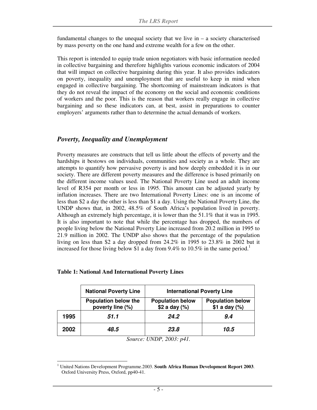fundamental changes to the unequal society that we live in  $-$  a society characterised by mass poverty on the one hand and extreme wealth for a few on the other.

This report is intended to equip trade union negotiators with basic information needed in collective bargaining and therefore highlights various economic indicators of 2004 that will impact on collective bargaining during this year. It also provides indicators on poverty, inequality and unemployment that are useful to keep in mind when engaged in collective bargaining. The shortcoming of mainstream indicators is that they do not reveal the impact of the economy on the social and economic conditions of workers and the poor. This is the reason that workers really engage in collective bargaining and so these indicators can, at best, assist in preparations to counter employers' arguments rather than to determine the actual demands of workers.

#### *Poverty, Inequality and Unemployment*

Poverty measures are constructs that tell us little about the effects of poverty and the hardships it bestows on individuals, communities and society as a whole. They are attempts to quantify how pervasive poverty is and how deeply embedded it is in our society. There are different poverty measures and the difference is based primarily on the different income values used. The National Poverty Line used an adult income level of R354 per month or less in 1995. This amount can be adjusted yearly by inflation increases. There are two International Poverty Lines: one is an income of less than \$2 a day the other is less than \$1 a day. Using the National Poverty Line, the UNDP shows that, in 2002, 48.5% of South Africa's population lived in poverty. Although an extremely high percentage, it is lower than the 51.1% that it was in 1995. It is also important to note that while the percentage has dropped, the numbers of people living below the National Poverty Line increased from 20.2 million in 1995 to 21.9 million in 2002. The UNDP also shows that the percentage of the population living on less than \$2 a day dropped from 24.2% in 1995 to 23.8% in 2002 but it increased for those living below \$1 a day from 9.4% to 10.5% in the same period.<sup>1</sup>

|      | <b>National Poverty Line</b>             | <b>International Poverty Line</b>        |                                              |
|------|------------------------------------------|------------------------------------------|----------------------------------------------|
|      | Population below the<br>poverty line (%) | <b>Population below</b><br>\$2 a day (%) | <b>Population below</b><br>$$1$ a day $(\%)$ |
| 1995 | 51.1                                     | 24.2                                     | 9.4                                          |
| 2002 | 48.5                                     | 23.8                                     | 10.5                                         |

#### **Table 1: National And International Poverty Lines**

*Source: UNDP, 2003: p41.* 

<sup>-</sup><sup>1</sup> United Nations Development Programme.2003. South Africa Human Development Report 2003. Oxford University Press, Oxford, pp40-41.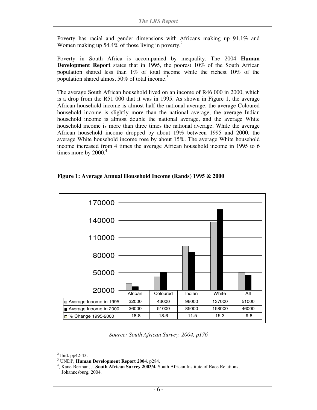Poverty has racial and gender dimensions with Africans making up 91.1% and Women making up 54.4% of those living in poverty. $2^2$ 

Poverty in South Africa is accompanied by inequality. The 2004 **Human Development Report** states that in 1995, the poorest 10% of the South African population shared less than 1% of total income while the richest 10% of the population shared almost  $50\%$  of total income.<sup>3</sup>

The average South African household lived on an income of R46 000 in 2000, which is a drop from the R51 000 that it was in 1995. As shown in Figure 1, the average African household income is almost half the national average, the average Coloured household income is slightly more than the national average, the average Indian household income is almost double the national average, and the average White household income is more than three times the national average. While the average African household income dropped by about 19% between 1995 and 2000, the average White household income rose by about 15%. The average White household income increased from 4 times the average African household income in 1995 to 6 times more by  $2000<sup>4</sup>$ 

#### **Figure 1: Average Annual Household Income (Rands) 1995 & 2000**



*Source: South African Survey, 2004, p176* 

<sup>-</sup> $<sup>2</sup>$  Ibid. pp42-43.</sup>

<sup>3</sup> UNDP, **Human Development Report 2004**, p284.

<sup>4</sup> , Kane-Berman, J. **South African Survey 2003/4.** South African Institute of Race Relations, Johannesburg, 2004.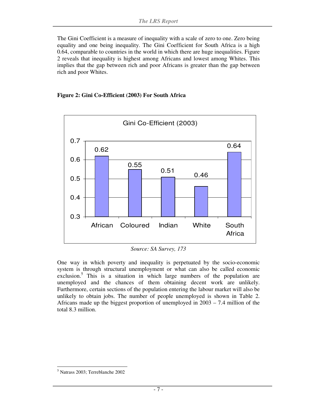The Gini Coefficient is a measure of inequality with a scale of zero to one. Zero being equality and one being inequality. The Gini Coefficient for South Africa is a high 0.64, comparable to countries in the world in which there are huge inequalities. Figure 2 reveals that inequality is highest among Africans and lowest among Whites. This implies that the gap between rich and poor Africans is greater than the gap between rich and poor Whites.





*Source: SA Survey, 173* 

One way in which poverty and inequality is perpetuated by the socio-economic system is through structural unemployment or what can also be called economic exclusion.<sup>5</sup> This is a situation in which large numbers of the population are unemployed and the chances of them obtaining decent work are unlikely. Furthermore, certain sections of the population entering the labour market will also be unlikely to obtain jobs. The number of people unemployed is shown in Table 2. Africans made up the biggest proportion of unemployed in 2003 – 7.4 million of the total 8.3 million.

<sup>-</sup>5 Natrass 2003; Terreblanche 2002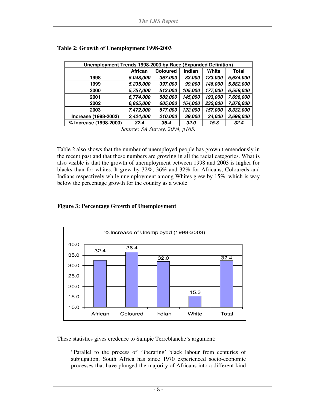| Unemployment Trends 1998-2003 by Race (Expanded Definition) |                |                 |             |         |           |  |  |  |
|-------------------------------------------------------------|----------------|-----------------|-------------|---------|-----------|--|--|--|
|                                                             | <b>African</b> | <b>Coloured</b> | Indian      | White   | Total     |  |  |  |
| 1998                                                        | 5,048,000      | 367,000         | 83,000      | 133,000 | 5,634,000 |  |  |  |
| 1999                                                        | 5,235,000      | 397,000         | 99,000      | 146,000 | 5,882,000 |  |  |  |
| 2000                                                        | 5,757,000      | 513,000         | 105,000     | 177,000 | 6,559,000 |  |  |  |
| 2001                                                        | 6,774,000      | 582,000         | 145,000     | 193,000 | 7,698,000 |  |  |  |
| 2002                                                        | 6,865,000      | 605,000         | 164,000     | 232,000 | 7,876,000 |  |  |  |
| 2003                                                        | 7,472,000      | 577,000         | 122,000     | 157,000 | 8,332,000 |  |  |  |
| Increase (1998-2003)                                        | 2,424,000      | 210,000         | 39,000      | 24,000  | 2,698,000 |  |  |  |
| % Increase (1998-2003)                                      | 32.4           | 36.4            | <b>32.0</b> | 15.3    | 32.4      |  |  |  |

#### **Table 2: Growth of Unemployment 1998-2003**

*Source: SA Survey, 2004, p165.* 

Table 2 also shows that the number of unemployed people has grown tremendously in the recent past and that these numbers are growing in all the racial categories. What is also visible is that the growth of unemployment between 1998 and 2003 is higher for blacks than for whites. It grew by 32%, 36% and 32% for Africans, Coloureds and Indians respectively while unemployment among Whites grew by 15%, which is way below the percentage growth for the country as a whole.

#### **Figure 3: Percentage Growth of Unemployment**



These statistics gives credence to Sampie Terreblanche's argument:

"Parallel to the process of 'liberating' black labour from centuries of subjugation, South Africa has since 1970 experienced socio-economic processes that have plunged the majority of Africans into a different kind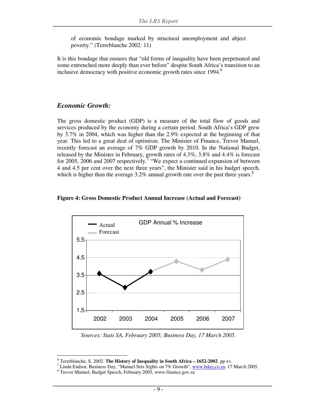of economic bondage marked by structural unemployment and abject poverty." (Terreblanche 2002: 11)

It is this bondage that ensures that "old forms of inequality have been perpetuated and some entrenched more deeply than ever before" despite South Africa's transition to an inclusive democracy with positive economic growth rates since 1994.<sup>6</sup>

#### *Economic Growth:*

The gross domestic product (GDP) is a measure of the total flow of goods and services produced by the economy during a certain period. South Africa's GDP grew by 3.7% in 2004, which was higher than the 2.9% expected at the beginning of that year. This led to a great deal of optimism. The Minister of Finance, Trevor Manuel, recently forecast an average of 7% GDP growth by 2010. In the National Budget, released by the Minister in February, growth rates of 4.3%, 3.8% and 4.4% is forecast for 2005, 2006 and 2007 respectively.<sup>7</sup> "We expect a continued expansion of between 4 and 4.5 per cent over the next three years", the Minister said in his budget speech, which is higher than the average  $3.2\%$  annual growth rate over the past three years.<sup>8</sup>

#### **Figure 4: Gross Domestic Product Annual Increase (Actual and Forecast)**



*Sources: Stats SA, February 2005; Business Day, 17 March 2005.* 

<sup>-</sup>6 Terreblanche, S. 2002. **The History of Inequality in South Africa – 1652-2002**. pp xv.

<sup>&</sup>lt;sup>7</sup> Linda Endsor, Business Day, "Manuel Sets Sights on 7% Growth",  $\frac{www.bday.co.za}{www.bday.co.za}$ . 17 March 2005.

<sup>8</sup> Trevor Manuel, Budget Speech, February 2005, www.finance.gov.za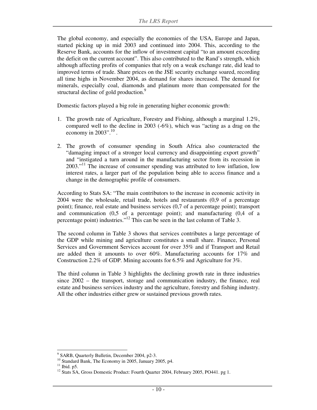The global economy, and especially the economies of the USA, Europe and Japan, started picking up in mid 2003 and continued into 2004. This, according to the Reserve Bank, accounts for the inflow of investment capital "to an amount exceeding the deficit on the current account". This also contributed to the Rand's strength, which although affecting profits of companies that rely on a weak exchange rate, did lead to improved terms of trade. Share prices on the JSE security exchange soared, recording all time highs in November 2004, as demand for shares increased. The demand for minerals, especially coal, diamonds and platinum more than compensated for the structural decline of gold production.<sup>9</sup>

Domestic factors played a big role in generating higher economic growth:

- 1. The growth rate of Agriculture, Forestry and Fishing, although a marginal 1.2%, compared well to the decline in 2003 (-6%), which was "acting as a drag on the economy in  $2003$ ".<sup>10</sup>.
- 2. The growth of consumer spending in South Africa also counteracted the "damaging impact of a stronger local currency and disappointing export growth" and "instigated a turn around in the manufacturing sector from its recession in 2003."<sup>11</sup> The increase of consumer spending was attributed to low inflation, low interest rates, a larger part of the population being able to access finance and a change in the demographic profile of consumers.

According to Stats SA: "The main contributors to the increase in economic activity in 2004 were the wholesale, retail trade, hotels and restaurants (0,9 of a percentage point); finance, real estate and business services (0,7 of a percentage point); transport and communication (0,5 of a percentage point); and manufacturing (0,4 of a percentage point) industries."<sup>12</sup> This can be seen in the last column of Table 3.

The second column in Table 3 shows that services contributes a large percentage of the GDP while mining and agriculture constitutes a small share. Finance, Personal Services and Government Services account for over 35% and if Transport and Retail are added then it amounts to over 60%. Manufacturing accounts for 17% and Construction 2.2% of GDP. Mining accounts for 6.5% and Agriculture for 3%.

The third column in Table 3 highlights the declining growth rate in three industries since 2002 – the transport, storage and communication industry, the finance, real estate and business services industry and the agriculture, forestry and fishing industry. All the other industries either grew or sustained previous growth rates.

<sup>-</sup><sup>9</sup> SARB, Quarterly Bulletin, December 2004, p2-3.

<sup>&</sup>lt;sup>10</sup> Standard Bank, The Economy in 2005, January 2005, p4.

 $11$  Ibid. p5.

<sup>&</sup>lt;sup>12</sup> Stats SA, Gross Domestic Product: Fourth Quarter 2004, February 2005, PO441. pg 1.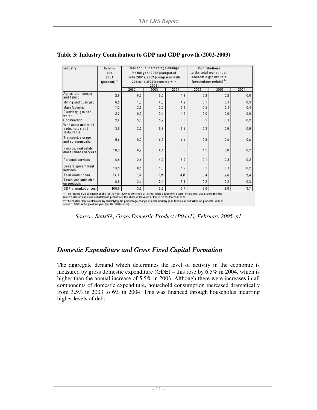| Industry                                                 | Relative<br>size<br>2004<br>(percent) <sup>1/</sup>                                                                                       | Real annual percentage change<br>for the year 2002 (compared<br>with 2001), 2003 (compared with<br>2002)and 2004 (compared with<br>2003) |        |      | Contributions<br>to the total real annual<br>economic growth rate<br>(percentage points) $27$ |        |      |  |  |  |
|----------------------------------------------------------|-------------------------------------------------------------------------------------------------------------------------------------------|------------------------------------------------------------------------------------------------------------------------------------------|--------|------|-----------------------------------------------------------------------------------------------|--------|------|--|--|--|
|                                                          |                                                                                                                                           | 2002                                                                                                                                     | 2003   | 2004 | 2002                                                                                          | 2003   | 2004 |  |  |  |
| Agriculture, forestry<br>and fishing                     | 2.9                                                                                                                                       | 6.5                                                                                                                                      | $-6.0$ | 1,2  | 0.2                                                                                           | $-0.2$ | 0, 0 |  |  |  |
| Mining and quarrying                                     | 6,5                                                                                                                                       | 1,0                                                                                                                                      | 4,3    | 4,2  | 0,1                                                                                           | 0,3    | 0,3  |  |  |  |
| Manufacturing                                            | 17.2                                                                                                                                      | 2.8                                                                                                                                      | $-0.9$ | 2.6  | 0.5                                                                                           | $-0.1$ | 0.4  |  |  |  |
| Electricity, gas and<br>water                            | 2,2                                                                                                                                       | 0.2                                                                                                                                      | 0.4    | 1.9  | 0,0                                                                                           | 0,0    | 0,0  |  |  |  |
| Construction                                             | 2,4                                                                                                                                       | 5,8                                                                                                                                      | 5.2    | 6,3  | 0,1                                                                                           | 0, 1   | 0,2  |  |  |  |
| Wholesale and retail<br>trade; hotels and<br>restaurants | 13.0                                                                                                                                      | 2,3                                                                                                                                      | 6,7    | 6.5  | 0,3                                                                                           | 0.9    | 0.9  |  |  |  |
| Transport, storage<br>land communication                 | 9,5                                                                                                                                       | 9,0                                                                                                                                      | 5.2    | 5,5  | 0.8                                                                                           | 0, 5   | 0, 5 |  |  |  |
| Finance, real estate<br>and business services            | 18,3                                                                                                                                      | 6, 2                                                                                                                                     | 4,1    | 3,8  | 1,1                                                                                           | 0.8    | 0,7  |  |  |  |
| Personal services                                        | 5,5                                                                                                                                       | 2.5                                                                                                                                      | 4,9    | 3,9  | 0.1                                                                                           | 0.3    | 0,2  |  |  |  |
| General government<br>services                           | 13,5                                                                                                                                      | 0.5                                                                                                                                      | 1,0    | 1.2  | 0.1                                                                                           | 0, 1   | 0.2  |  |  |  |
| Total value added                                        | 91.1                                                                                                                                      | 3.6                                                                                                                                      | 2.9    | 3.8  | 3.4                                                                                           | 2,6    | 3,4  |  |  |  |
| Taxes less subsidies<br>on products                      | 8,9                                                                                                                                       | 2.7                                                                                                                                      | 2,1    | 3,1  | 0,2                                                                                           | 0.2    | 0,3  |  |  |  |
| GDP at market prices                                     | 100.0                                                                                                                                     | 3.6                                                                                                                                      | 2.8    | 3,7  | 3.6                                                                                           | 2.8    | 3,7  |  |  |  |
|                                                          | 1/ The relative size of each industry for the year 2004 is the share of its real value added of the GDP for the year 2003. Similarly, the |                                                                                                                                          |        |      |                                                                                               |        |      |  |  |  |

#### **Table 3: Industry Contribution to GDP and GDP growth (2002-2003)**

relative size of taxes less subsidies on products is the share of its value of the GDP for the year 2003.

reading the state is a substantial interest in the state of the state of the SDP for the year 2003.<br>2/ The contribution is calculated by multiplying the percentage change of each industry (and taxes less subsidies on produ

*Source: StatsSA, Gross Domestic Product (P0441), February 2005, p1* 

#### *Domestic Expenditure and Gross Fixed Capital Formation*

The aggregate demand which determines the level of activity in the economic is measured by gross domestic expenditure (GDE) – this rose by 6.5% in 2004, which is higher than the annual increase of 5.5% in 2003. Although there were increases in all components of domestic expenditure, household consumption increased dramatically from 3.5% in 2003 to 6% in 2004. This was financed through households incurring higher levels of debt.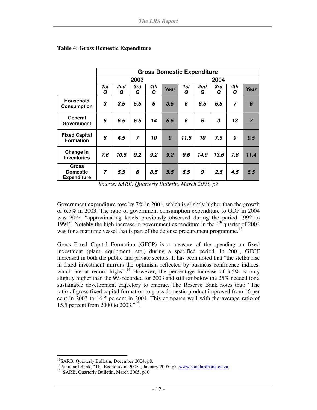|                                                |                | <b>Gross Domestic Expenditure</b> |                |          |                  |          |          |          |                |                |
|------------------------------------------------|----------------|-----------------------------------|----------------|----------|------------------|----------|----------|----------|----------------|----------------|
|                                                |                |                                   | 2003           |          |                  | 2004     |          |          |                |                |
|                                                | 1st<br>Q       | 2nd<br>Q                          | 3rd<br>Q       | 4th<br>Q | Year             | 1st<br>Q | 2nd<br>Q | 3rd<br>Q | 4th<br>Q       | Year           |
| <b>Household</b><br><b>Consumption</b>         | 3              | 3.5                               | 5.5            | 6        | 3.5              | 6        | 6.5      | 6.5      | $\overline{7}$ | 6              |
| General<br>Government                          | 6              | 6.5                               | 6.5            | 14       | 6.5              | 6        | 6        | 0        | 13             | $\overline{7}$ |
| <b>Fixed Capital</b><br><b>Formation</b>       | 8              | 4.5                               | $\overline{z}$ | 10       | $\boldsymbol{g}$ | 11.5     | 10       | 7.5      | 9              | 9.5            |
| Change in<br><b>Inventories</b>                | 7.6            | 10.5                              | 9.2            | 9.2      | 9.2              | 9.6      | 14.9     | 13.6     | 7.6            | 11.4           |
| Gross<br><b>Domestic</b><br><b>Expenditure</b> | $\overline{7}$ | 5.5                               | 6              | 8.5      | 5.5              | 5.5      | 9        | 2.5      | 4.5            | 6.5            |

#### **Table 4: Gross Domestic Expenditure**

*Source: SARB, Quarterly Bulletin, March 2005, p7* 

Government expenditure rose by 7% in 2004, which is slightly higher than the growth of 6.5% in 2003. The ratio of government consumption expenditure to GDP in 2004 was 20%, "approximating levels previously observed during the period 1992 to 1994". Notably the high increase in government expenditure in the 4<sup>th</sup> quarter of 2004 was for a maritime vessel that is part of the defense procurement programme.<sup>13</sup>

Gross Fixed Capital Formation (GFCP) is a measure of the spending on fixed investment (plant, equipment, etc.) during a specified period. In 2004, GFCF increased in both the public and private sectors. It has been noted that "the stellar rise in fixed investment mirrors the optimism reflected by business confidence indices, which are at record highs".<sup>14</sup> However, the percentage increase of 9.5% is only slightly higher than the 9% recorded for 2003 and still far below the 25% needed for a sustainable development trajectory to emerge. The Reserve Bank notes that: "The ratio of gross fixed capital formation to gross domestic product improved from 16 per cent in 2003 to 16.5 percent in 2004. This compares well with the average ratio of 15.5 percent from 2000 to 2003."<sup>15</sup> .

-

<sup>&</sup>lt;sup>13</sup>SARB, Quarterly Bulletin, December 2004, p8.

<sup>&</sup>lt;sup>14</sup> Standard Bank, "The Economy in 2005", January 2005. p7. www.standardbank.co.za

<sup>&</sup>lt;sup>15</sup> SARB, Quarterly Bulletin, March 2005, p10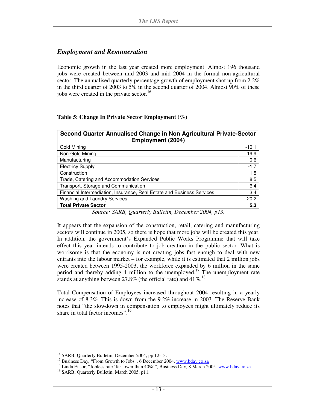#### *Employment and Remuneration*

Economic growth in the last year created more employment. Almost 196 thousand jobs were created between mid 2003 and mid 2004 in the formal non-agricultural sector. The annualised quarterly percentage growth of employment shot up from 2.2% in the third quarter of 2003 to 5% in the second quarter of 2004. Almost 90% of these jobs were created in the private sector.<sup>16</sup>

#### **Table 5: Change In Private Sector Employment (%)**

| Second Quarter Annualised Change in Non Agricultural Private-Sector<br><b>Employment (2004)</b> |         |  |  |  |
|-------------------------------------------------------------------------------------------------|---------|--|--|--|
| <b>Gold Mining</b>                                                                              | $-10.1$ |  |  |  |
| Non-Gold Mining                                                                                 | 19.9    |  |  |  |
| Manufacturing                                                                                   | 0.6     |  |  |  |
| <b>Electricy Supply</b>                                                                         | $-1.7$  |  |  |  |
| Construction                                                                                    | 1.5     |  |  |  |
| Trade, Catering and Accommodation Services                                                      | 8.5     |  |  |  |
| Transport, Storage and Communication                                                            | 6.4     |  |  |  |
| Financial Intermediation, Insurance, Real Estate and Business Services                          | 3.4     |  |  |  |
| Washing and Laundry Services                                                                    | 20.2    |  |  |  |
| <b>Total Private Sector</b>                                                                     |         |  |  |  |

*Source: SARB, Quarterly Bulletin, December 2004, p13.* 

It appears that the expansion of the construction, retail, catering and manufacturing sectors will continue in 2005, so there is hope that more jobs will be created this year. In addition, the government's Expanded Public Works Programme that will take effect this year intends to contribute to job creation in the public sector. What is worrisome is that the economy is not creating jobs fast enough to deal with new entrants into the labour market – for example, while it is estimated that 2 million jobs were created between 1995-2003, the workforce expanded by 6 million in the same period and thereby adding 4 million to the unemployed.<sup>17</sup> The unemployment rate stands at anything between 27.8% (the official rate) and 41%.<sup>18</sup>

Total Compensation of Employees increased throughout 2004 resulting in a yearly increase of 8.3%. This is down from the 9.2% increase in 2003. The Reserve Bank notes that "the slowdown in compensation to employees might ultimately reduce its share in total factor incomes".<sup>19</sup>

<sup>-</sup><sup>16</sup> SARB, Quarterly Bulletin, December 2004, pp 12-13.

<sup>&</sup>lt;sup>17</sup> Business Day, "From Growth to Jobs", 6 December 2004. www.bday.co.za

<sup>&</sup>lt;sup>18</sup> Linda Ensor, "Jobless rate 'far lower than 40%"', Business Day, 8 March 2005. www.bday.co.za

<sup>&</sup>lt;sup>19</sup> SARB, Quarterly Bulletin, March 2005. p11.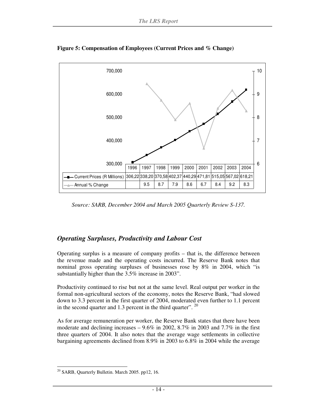

**Figure 5: Compensation of Employees (Current Prices and % Change)** 

*Source: SARB, December 2004 and March 2005 Quarterly Review S-137.* 

#### *Operating Surpluses, Productivity and Labour Cost*

Operating surplus is a measure of company profits – that is, the difference between the revenue made and the operating costs incurred. The Reserve Bank notes that nominal gross operating surpluses of businesses rose by 8% in 2004, which "is substantially higher than the 3.5% increase in 2003".

Productivity continued to rise but not at the same level. Real output per worker in the formal non-agricultural sectors of the economy, notes the Reserve Bank, "had slowed down to 3.3 percent in the first quarter of 2004, moderated even further to 1.1 percent in the second quarter and 1.3 percent in the third quarter".  $20$ 

As for average remuneration per worker, the Reserve Bank states that there have been moderate and declining increases – 9.6% in 2002, 8.7% in 2003 and 7.7% in the first three quarters of 2004. It also notes that the average wage settlements in collective bargaining agreements declined from 8.9% in 2003 to 6.8% in 2004 while the average

<sup>-</sup> $20$  SARB, Quarterly Bulletin. March 2005. pp12, 16.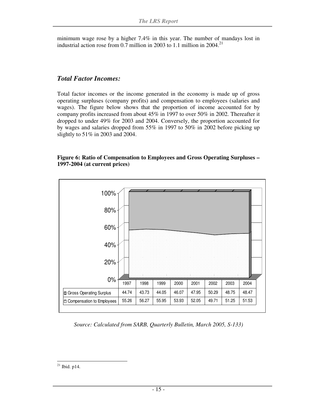minimum wage rose by a higher 7.4% in this year. The number of mandays lost in industrial action rose from 0.7 million in 2003 to 1.1 million in 2004.<sup>21</sup>

#### *Total Factor Incomes:*

Total factor incomes or the income generated in the economy is made up of gross operating surpluses (company profits) and compensation to employees (salaries and wages). The figure below shows that the proportion of income accounted for by company profits increased from about 45% in 1997 to over 50% in 2002. Thereafter it dropped to under 49% for 2003 and 2004. Conversely, the proportion accounted for by wages and salaries dropped from 55% in 1997 to 50% in 2002 before picking up slightly to 51% in 2003 and 2004.

#### **Figure 6: Ratio of Compensation to Employees and Gross Operating Surpluses – 1997-2004 (at current prices)**



*Source: Calculated from SARB, Quarterly Bulletin, March 2005, S-133)*

<sup>-</sup> $^{21}$  Ibid. p14.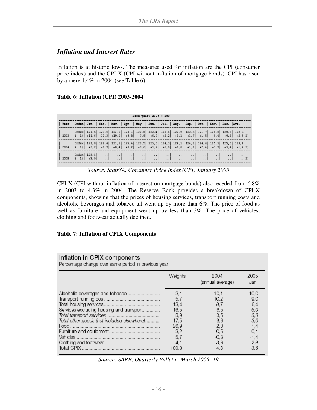#### *Inflation and Interest Rates*

Inflation is at historic lows. The measures used for inflation are the CPI (consumer price index) and the CPI-X (CPI without inflation of mortgage bonds). CPI has risen by a mere 1.4% in 2004 (see Table 6).

#### **Table 6: Inflation (CPI) 2003-2004**

| Base year: 2000 - 100                                                                                |  |  |  |  |  |  |  |  |  |  |                                                                                                                                                                                                                                                                                                                                                                                                                                             |
|------------------------------------------------------------------------------------------------------|--|--|--|--|--|--|--|--|--|--|---------------------------------------------------------------------------------------------------------------------------------------------------------------------------------------------------------------------------------------------------------------------------------------------------------------------------------------------------------------------------------------------------------------------------------------------|
| Year   Index  Jan.   Feb.   Mar.   Apr.   May   Jun.   Jul.   Aug.   Sep.   Oct.   Nov.   Dec.  Ave. |  |  |  |  |  |  |  |  |  |  |                                                                                                                                                                                                                                                                                                                                                                                                                                             |
|                                                                                                      |  |  |  |  |  |  |  |  |  |  |                                                                                                                                                                                                                                                                                                                                                                                                                                             |
|                                                                                                      |  |  |  |  |  |  |  |  |  |  |                                                                                                                                                                                                                                                                                                                                                                                                                                             |
|                                                                                                      |  |  |  |  |  |  |  |  |  |  | $\begin{bmatrix} 1 & 10088 & 125, 4 \\ 2005 & 1 & 1 \end{bmatrix} \begin{bmatrix} 125, 4 \\ -43, 0 \end{bmatrix} \quad \begin{bmatrix} 1 & 1 \\ 1 & 1 \end{bmatrix} \quad \begin{bmatrix} 1 & 1 \\ 1 & 1 \end{bmatrix} \quad \begin{bmatrix} 1 & 1 \\ 1 & 1 \end{bmatrix} \quad \begin{bmatrix} 1 & 1 \\ 1 & 1 \end{bmatrix} \quad \begin{bmatrix} 1 & 1 \\ 1 & 1 \end{bmatrix} \quad \begin{bmatrix} 1 & 1 \\ 1 & 1 \end{bmatrix} \quad \$ |

*Source: StatsSA, Consumer Price Index (CPI) January 2005* 

CPI-X (CPI without inflation of interest on mortgage bonds) also receded from 6.8% in 2003 to 4.3% in 2004. The Reserve Bank provides a breakdown of CPI-X components, showing that the prices of housing services, transport running costs and alcoholic beverages and tobacco all went up by more than 6%. The price of food as well as furniture and equipment went up by less than 3%. The price of vehicles, clothing and footwear actually declined.

#### **Table 7: Inflation of CPIX Components**

#### Inflation in CPIX components

Percentage change over same period in previous year

|                                            | Weights | 2004<br>(annual average) | 2005<br>Jan |
|--------------------------------------------|---------|--------------------------|-------------|
| Alcoholic beverages and tobacco            | 3,1     | 10.1                     | 10,0        |
|                                            | 5,7     | 10,2                     | 9,0         |
|                                            | 13.4    | 8,7                      | 6,4         |
| Services excluding housing and transport   | 16,5    | 6,5                      | 6,0         |
|                                            | 3.9     | 3,5                      | 3,3         |
| Total other goods (not included elsewhere) | 17,5    | 3,6                      | 3,0         |
|                                            | 26.9    | 2,0                      | 1,4         |
|                                            | 3,2     | 0.5                      | $-0,1$      |
|                                            | 5,7     | $-0.8$                   | $-1.4$      |
|                                            | 4,1     | $-3.8$                   | $-2,8$      |
|                                            | 100.0   | 4.3                      | 3.6         |

*Source: SARB, Quarterly Bulletin. March 2005: 19*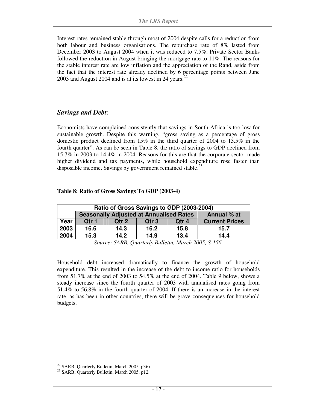Interest rates remained stable through most of 2004 despite calls for a reduction from both labour and business organisations. The repurchase rate of 8% lasted from December 2003 to August 2004 when it was reduced to 7.5%. Private Sector Banks followed the reduction in August bringing the mortgage rate to 11%. The reasons for the stable interest rate are low inflation and the appreciation of the Rand, aside from the fact that the interest rate already declined by 6 percentage points between June 2003 and August 2004 and is at its lowest in 24 years. $22$ 

#### *Savings and Debt:*

Economists have complained consistently that savings in South Africa is too low for sustainable growth. Despite this warning, "gross saving as a percentage of gross domestic product declined from 15% in the third quarter of 2004 to 13.5% in the fourth quarter". As can be seen in Table 8, the ratio of savings to GDP declined from 15.7% in 2003 to 14.4% in 2004. Reasons for this are that the corporate sector made higher dividend and tax payments, while household expenditure rose faster than disposable income. Savings by government remained stable.<sup>23</sup>

#### **Table 8: Ratio of Gross Savings To GDP (2003-4)**

|      | Ratio of Gross Savings to GDP (2003-2004)                     |       |       |       |                       |  |  |  |  |  |
|------|---------------------------------------------------------------|-------|-------|-------|-----------------------|--|--|--|--|--|
|      | <b>Seasonally Adjusted at Annualised Rates</b><br>Annual % at |       |       |       |                       |  |  |  |  |  |
| Year | Otr 1                                                         | Qtr 2 | Qtr 3 | Qtr 4 | <b>Current Prices</b> |  |  |  |  |  |
| 2003 | 16.6                                                          | 14.3  | 16.2  | 15.8  | 15.7                  |  |  |  |  |  |
| 2004 | 15.3                                                          | 14.2  | 14.9  | 13.4  | 14.4                  |  |  |  |  |  |

*Source: SARB, Quarterly Bulletin, March 2005, S-156.* 

Household debt increased dramatically to finance the growth of household expenditure. This resulted in the increase of the debt to income ratio for households from 51.7% at the end of 2003 to 54.5% at the end of 2004. Table 9 below, shows a steady increase since the fourth quarter of 2003 with annualised rates going from 51.4% to 56.8% in the fourth quarter of 2004. If there is an increase in the interest rate, as has been in other countries, there will be grave consequences for household budgets.

-

 $22$  SARB. Quarterly Bulletin, March 2005. p36)

<sup>&</sup>lt;sup>23</sup> SARB, Quarterly Bulletin, March 2005. p12.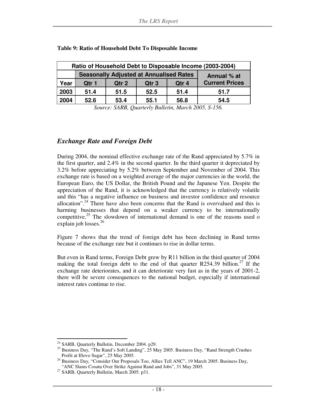| Ratio of Household Debt to Disposable Income (2003-2004) |                                                |       |                  |       |                       |  |  |  |
|----------------------------------------------------------|------------------------------------------------|-------|------------------|-------|-----------------------|--|--|--|
|                                                          | <b>Seasonally Adjusted at Annualised Rates</b> |       | Annual % at      |       |                       |  |  |  |
| Year                                                     | Qtr 1                                          | Qtr 2 | Qtr <sub>3</sub> | Qtr 4 | <b>Current Prices</b> |  |  |  |
| 2003                                                     | 51.4                                           | 51.5  | 52.5             | 51.4  | 51.7                  |  |  |  |
| 2004                                                     | 52.6                                           | 53.4  | 55.1             | 56.8  | 54.5                  |  |  |  |

#### **Table 9: Ratio of Household Debt To Disposable Income**

*Source: SARB, Quarterly Bulletin, March 2005, S-156.* 

#### *Exchange Rate and Foreign Debt*

During 2004, the nominal effective exchange rate of the Rand appreciated by 5.7% in the first quarter, and 2.4% in the second quarter. In the third quarter it depreciated by 3.2% before appreciating by 5.2% between September and November of 2004. This exchange rate is based on a weighted average of the major currencies in the world, the European Euro, the US Dollar, the British Pound and the Japanese Yen. Despite the appreciation of the Rand, it is acknowledged that the currency is relatively volatile and this "has a negative influence on business and investor confidence and resource allocation".<sup>24</sup> There have also been concerns that the Rand is overvalued and this is harming businesses that depend on a weaker currency to be internationally competitive.<sup>25</sup> The slowdown of international demand is one of the reasons used o explain job losses.<sup>26</sup>

Figure 7 shows that the trend of foreign debt has been declining in Rand terms because of the exchange rate but it continues to rise in dollar terms.

But even in Rand terms, Foreign Debt grew by R11 billion in the third quarter of 2004 making the total foreign debt to the end of that quarter R254.39 billion.<sup>27</sup> If the exchange rate deteriorates, and it can deteriorate very fast as in the years of 2001-2, there will be severe consequences to the national budget, especially if international interest rates continue to rise.

<sup>-</sup><sup>24</sup> SARB, Quarterly Bulletin, December 2004. p29.

<sup>&</sup>lt;sup>25</sup> Business Day, "The Rand's Soft Landing", 25 May 2005. Business Day, "Rand Strength Crushes Profit at Illovo Sugar", 25 May 2005.

<sup>26</sup> Business Day, "Consider Our Proposals Too, Allies Tell ANC", 19 March 2005. Business Day, "ANC Slams Cosatu Over Strike Against Rand and Jobs", 31 May 2005.

<sup>27</sup> SARB, Quarterly Bulletin, March 2005. p31.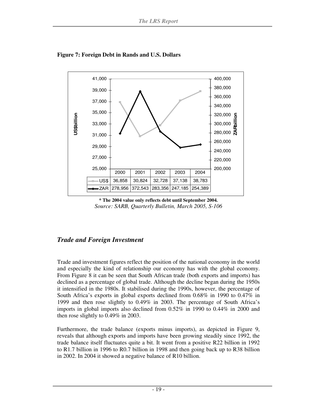

**Figure 7: Foreign Debt in Rands and U.S. Dollars** 



#### *Trade and Foreign Investment*

Trade and investment figures reflect the position of the national economy in the world and especially the kind of relationship our economy has with the global economy. From Figure 8 it can be seen that South African trade (both exports and imports) has declined as a percentage of global trade. Although the decline began during the 1950s it intensified in the 1980s. It stabilised during the 1990s, however, the percentage of South Africa's exports in global exports declined from 0.68% in 1990 to 0.47% in 1999 and then rose slightly to 0.49% in 2003. The percentage of South Africa's imports in global imports also declined from 0.52% in 1990 to 0.44% in 2000 and then rose slightly to 0.49% in 2003.

Furthermore, the trade balance (exports minus imports), as depicted in Figure 9, reveals that although exports and imports have been growing steadily since 1992, the trade balance itself fluctuates quite a bit. It went from a positive R22 billion in 1992 to R1.7 billion in 1996 to R0.7 billion in 1998 and then going back up to R38 billion in 2002. In 2004 it showed a negative balance of R10 billion.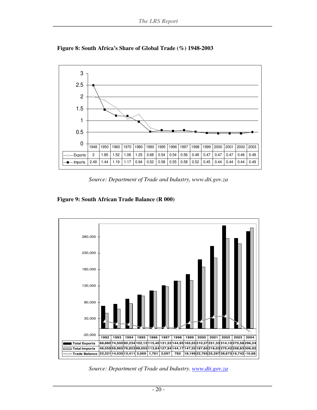

**Figure 8: South Africa's Share of Global Trade (%) 1948-2003** 

*Source: Department of Trade and Industry, www.dti.gov.za* 

#### **Figure 9: South African Trade Balance (R 000)**



*Source: Department of Trade and Industry. www.dti.gov.za*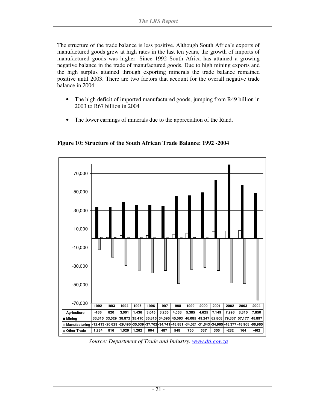The structure of the trade balance is less positive. Although South Africa's exports of manufactured goods grew at high rates in the last ten years, the growth of imports of manufactured goods was higher. Since 1992 South Africa has attained a growing negative balance in the trade of manufactured goods. Due to high mining exports and the high surplus attained through exporting minerals the trade balance remained positive until 2003. There are two factors that account for the overall negative trade balance in 2004:

- The high deficit of imported manufactured goods, jumping from R49 billion in 2003 to R67 billion in 2004
- The lower earnings of minerals due to the appreciation of the Rand.



**Figure 10: Structure of the South African Trade Balance: 1992 -2004** 

*Source: Department of Trade and Industry. www.dti.gov.za*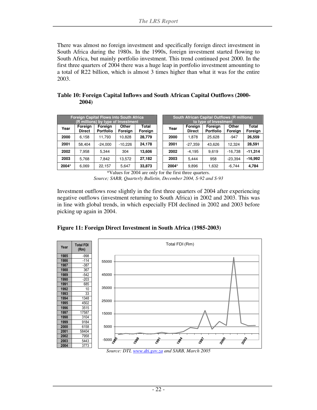There was almost no foreign investment and specifically foreign direct investment in South Africa during the 1980s. In the 1990s, foreign investment started flowing to South Africa, but mainly portfolio investment. This trend continued post 2000. In the first three quarters of 2004 there was a huge leap in portfolio investment amounting to a total of R22 billion, which is almost 3 times higher than what it was for the entire 2003.

| Table 10: Foreign Capital Inflows and South African Capital Outflows (2000- |  |
|-----------------------------------------------------------------------------|--|
| <b>2004</b> )                                                               |  |

|       |                          | <b>Foreign Capital Flows into South Africa</b><br>(R millions) by type of Investment |                  |                  |  | <b>South African Capital Outflows (R millions)</b><br>to type of Investment |                          |                             |                  |                  |
|-------|--------------------------|--------------------------------------------------------------------------------------|------------------|------------------|--|-----------------------------------------------------------------------------|--------------------------|-----------------------------|------------------|------------------|
| Year  | Foreign<br><b>Direct</b> | Foreign<br><b>Portfolio</b>                                                          | Other<br>Foreign | Total<br>Foreign |  | Year                                                                        | Foreign<br><b>Direct</b> | Foreign<br><b>Portfolio</b> | Other<br>Foreign | Total<br>Foreign |
| 2000  | 6.158                    | 11.793                                                                               | 10.828           | 28.779           |  | 2000                                                                        | 1.878                    | 25.628                      | $-947$           | 26.559           |
| 2001  | 58.404                   | $-24.000$                                                                            | $-10.226$        | 24,178           |  | 2001                                                                        | $-27.359$                | 43.626                      | 12.324           | 28,591           |
| 2002  | 7.958                    | 5.344                                                                                | 304              | 13,606           |  | 2002                                                                        | $-4,195$                 | 9.619                       | $-16.738$        | $-11,314$        |
| 2003  | 5.768                    | 7.842                                                                                | 13.572           | 27,182           |  | 2003                                                                        | 5.444                    | 958                         | $-23.394$        | $-16.992$        |
| 2004* | 6,069                    | 22.157                                                                               | 5.647            | 33,873           |  | 2004*                                                                       | 9,896                    | 1,632                       | $-6,744$         | 4,784            |

\*Values for 2004 are only for the first three quarters.

*Source; SARB, Quarterly Bulletin, December 2004, S-92 and S-93* 

Investment outflows rose slightly in the first three quarters of 2004 after experiencing negative outflows (investment returning to South Africa) in 2002 and 2003. This was in line with global trends, in which especially FDI declined in 2002 and 2003 before picking up again in 2004.



**Figure 11: Foreign Direct Investment in South Africa (1985-2003)** 

*Source: DTI, www.dti.gov.za and SARB, March 2005*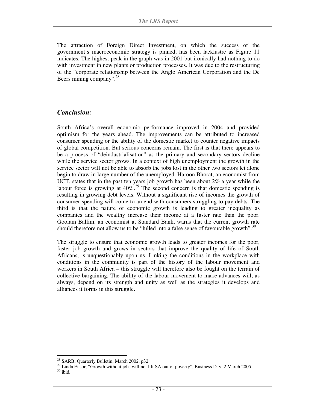The attraction of Foreign Direct Investment, on which the success of the government's macroeconomic strategy is pinned, has been lacklustre as Figure 11 indicates. The highest peak in the graph was in 2001 but ironically had nothing to do with investment in new plants or production processes. It was due to the restructuring of the "corporate relationship between the Anglo American Corporation and the De Beers mining company".<sup>28</sup>

#### *Conclusion:*

South Africa's overall economic performance improved in 2004 and provided optimism for the years ahead. The improvements can be attributed to increased consumer spending or the ability of the domestic market to counter negative impacts of global competition. But serious concerns remain. The first is that there appears to be a process of "deindustrialisation" as the primary and secondary sectors decline while the service sector grows. In a context of high unemployment the growth in the service sector will not be able to absorb the jobs lost in the other two sectors let alone begin to draw in large number of the unemployed. Haroon Bhorat, an economist from UCT, states that in the past ten years job growth has been about  $2\%$  a year while the labour force is growing at  $40\%$ <sup>29</sup> The second concern is that domestic spending is resulting in growing debt levels. Without a significant rise of incomes the growth of consumer spending will come to an end with consumers struggling to pay debts. The third is that the nature of economic growth is leading to greater inequality as companies and the wealthy increase their income at a faster rate than the poor. Goolam Ballim, an economist at Standard Bank, warns that the current growth rate should therefore not allow us to be "lulled into a false sense of favourable growth". $30$ 

The struggle to ensure that economic growth leads to greater incomes for the poor, faster job growth and grows in sectors that improve the quality of life of South Africans, is unquestionably upon us. Linking the conditions in the workplace with conditions in the community is part of the history of the labour movement and workers in South Africa – this struggle will therefore also be fought on the terrain of collective bargaining. The ability of the labour movement to make advances will, as always, depend on its strength and unity as well as the strategies it develops and alliances it forms in this struggle.

<sup>-</sup><sup>28</sup> SARB, Quarterly Bulletin, March 2002. p32

<sup>&</sup>lt;sup>29</sup> Linda Ensor, "Growth without jobs will not lift SA out of poverty", Business Day, 2 March 2005  $30$  ibid.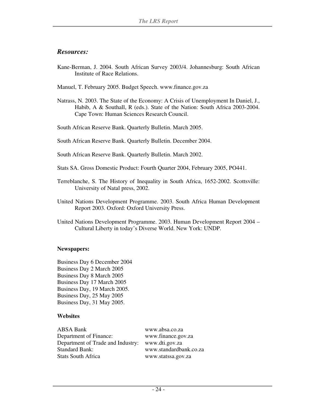#### *Resources:*

- Kane-Berman, J. 2004. South African Survey 2003/4. Johannesburg: South African Institute of Race Relations.
- Manuel, T. February 2005. Budget Speech. www.finance.gov.za
- Natrass, N. 2003. The State of the Economy: A Crisis of Unemployment In Daniel, J., Habib, A & Southall, R (eds.). State of the Nation: South Africa 2003-2004. Cape Town: Human Sciences Research Council.

South African Reserve Bank. Quarterly Bulletin. March 2005.

South African Reserve Bank. Quarterly Bulletin. December 2004.

South African Reserve Bank. Quarterly Bulletin. March 2002.

Stats SA. Gross Domestic Product: Fourth Quarter 2004, February 2005, PO441.

- Terreblanche, S. The History of Inequality in South Africa, 1652-2002. Scottsville: University of Natal press, 2002.
- United Nations Development Programme. 2003. South Africa Human Development Report 2003. Oxford: Oxford University Press.
- United Nations Development Programme. 2003. Human Development Report 2004 Cultural Liberty in today's Diverse World. New York: UNDP.

#### **Newspapers:**

Business Day 6 December 2004 Business Day 2 March 2005 Business Day 8 March 2005 Business Day 17 March 2005 Business Day, 19 March 2005. Business Day, 25 May 2005 Business Day, 31 May 2005.

#### **Websites**

ABSA Bank www.absa.co.za Department of Finance: www.finance.gov.za Department of Trade and Industry: www.dti.gov.za Standard Bank: www.standardbank.co.za Stats South Africa www.statssa.gov.za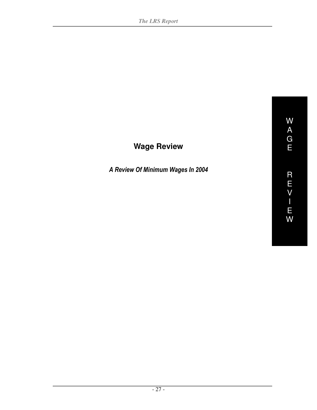# **Wage Review**

A Review Of Minimum Wages In 2004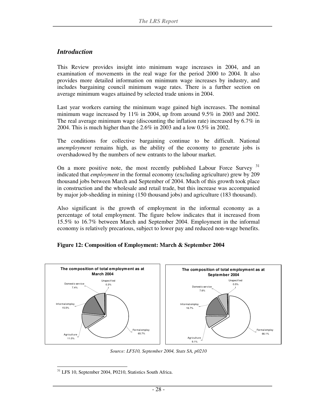#### *Introduction*

This Review provides insight into minimum wage increases in 2004, and an examination of movements in the real wage for the period 2000 to 2004. It also provides more detailed information on minimum wage increases by industry, and includes bargaining council minimum wage rates. There is a further section on average minimum wages attained by selected trade unions in 2004.

Last year workers earning the minimum wage gained high increases. The nominal minimum wage increased by  $11\%$  in 2004, up from around 9.5% in 2003 and 2002. The real average minimum wage (discounting the inflation rate) increased by 6.7% in 2004. This is much higher than the 2.6% in 2003 and a low 0.5% in 2002.

The conditions for collective bargaining continue to be difficult. National *unemployment* remains high, as the ability of the economy to generate jobs is overshadowed by the numbers of new entrants to the labour market.

On a more positive note, the most recently published Labour Force Survey <sup>31</sup> indicated that *employment* in the formal economy (excluding agriculture) grew by 209 thousand jobs between March and September of 2004. Much of this growth took place in construction and the wholesale and retail trade, but this increase was accompanied by major job-shedding in mining (150 thousand jobs) and agriculture (183 thousand).

Also significant is the growth of employment in the informal economy as a percentage of total employment. The figure below indicates that it increased from 15.5% to 16.7% between March and September 2004. Employment in the informal economy is relatively precarious, subject to lower pay and reduced non-wage benefits.

#### **Figure 12: Composition of Employment: March & September 2004**



*Source: LFS10, September 2004, Stats SA, p0210*

<sup>-</sup><sup>31</sup> LFS 10, September 2004, P0210, Statistics South Africa.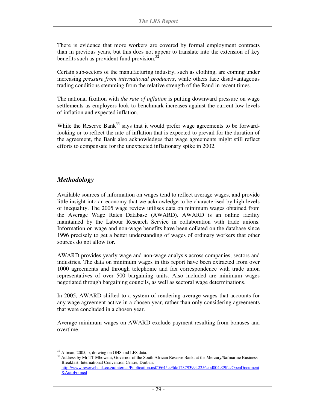There is evidence that more workers are covered by formal employment contracts than in previous years, but this does not appear to translate into the extension of key benefits such as provident fund provision. $32$ 

Certain sub-sectors of the manufacturing industry, such as clothing, are coming under increasing *pressure from international producers*, while others face disadvantageous trading conditions stemming from the relative strength of the Rand in recent times.

The national fixation with *the rate of inflation* is putting downward pressure on wage settlements as employers look to benchmark increases against the current low levels of inflation and expected inflation.

While the Reserve Bank<sup>33</sup> says that it would prefer wage agreements to be forwardlooking or to reflect the rate of inflation that is expected to prevail for the duration of the agreement, the Bank also acknowledges that wage agreements might still reflect efforts to compensate for the unexpected inflationary spike in 2002.

#### *Methodology*

Available sources of information on wages tend to reflect average wages, and provide little insight into an economy that we acknowledge to be characterised by high levels of inequality. The 2005 wage review utilises data on minimum wages obtained from the Average Wage Rates Database (AWARD). AWARD is an online facility maintained by the Labour Research Service in collaboration with trade unions. Information on wage and non-wage benefits have been collated on the database since 1996 precisely to get a better understanding of wages of ordinary workers that other sources do not allow for.

AWARD provides yearly wage and non-wage analysis across companies, sectors and industries. The data on minimum wages in this report have been extracted from over 1000 agreements and through telephonic and fax correspondence with trade union representatives of over 500 bargaining units. Also included are minimum wages negotiated through bargaining councils, as well as sectoral wage determinations.

In 2005, AWARD shifted to a system of rendering average wages that accounts for any wage agreement active in a chosen year, rather than only considering agreements that were concluded in a chosen year.

Average minimum wages on AWARD exclude payment resulting from bonuses and overtime.

<sup>-</sup><sup>32</sup> Altman, 2005, p, drawing on OHS and LFS data.

<sup>&</sup>lt;sup>33</sup> Address by Mr TT Mboweni, Governor of the South African Reserve Bank, at the Mercury/Safmarine Business Breakfast, International Convention Centre, Durban, http://www.reservebank.co.za/internet/Publication.nsf/0/645e93dc1237939942256ebd004929fe?OpenDocument &AutoFramed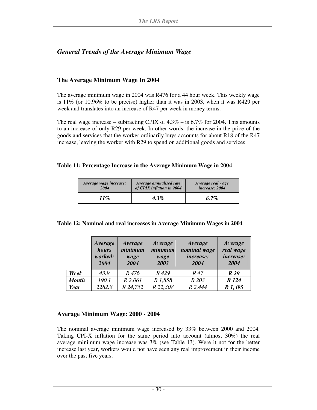#### *General Trends of the Average Minimum Wage*

#### **The Average Minimum Wage In 2004**

The average minimum wage in 2004 was R476 for a 44 hour week. This weekly wage is 11% (or 10.96% to be precise) higher than it was in 2003, when it was R429 per week and translates into an increase of R47 per week in money terms.

The real wage increase – subtracting CPIX of  $4.3\%$  – is 6.7% for 2004. This amounts to an increase of only R29 per week. In other words, the increase in the price of the goods and services that the worker ordinarily buys accounts for about R18 of the R47 increase, leaving the worker with R29 to spend on additional goods and services.

#### **Table 11: Percentage Increase in the Average Minimum Wage in 2004**

| Average wage increase: | Average annualised rate   | Average real wage |
|------------------------|---------------------------|-------------------|
| 2004                   | of CPIX inflation in 2004 | increase: 2004    |
| 11%                    | 4.3%                      | 6.7%              |

#### **Table 12: Nominal and real increases in Average Minimum Wages in 2004**

|              | Average<br>hours<br>worked:<br>2004 | Average<br>minimum<br>wage<br>2004 | Average<br>minimum<br>wage<br>2003 | Average<br>nominal wage<br><i>increase:</i><br>2004 | Average<br>real wage<br><i>increase:</i><br>2004 |
|--------------|-------------------------------------|------------------------------------|------------------------------------|-----------------------------------------------------|--------------------------------------------------|
| Week         | 43.9                                | R 476                              | R <sub>429</sub>                   | R 47                                                | R 29                                             |
| <b>Month</b> | 190.1                               | $R$ 2,061                          | R 1,858                            | R 203                                               | R 124                                            |
| Year         | 2282.8                              | R 24,752                           | R 22,308                           | R 2,444                                             | R 1,495                                          |

#### **Average Minimum Wage: 2000 - 2004**

The nominal average minimum wage increased by 33% between 2000 and 2004. Taking CPI-X inflation for the same period into account (almost 30%) the real average minimum wage increase was 3% (see Table 13). Were it not for the better increase last year, workers would not have seen any real improvement in their income over the past five years.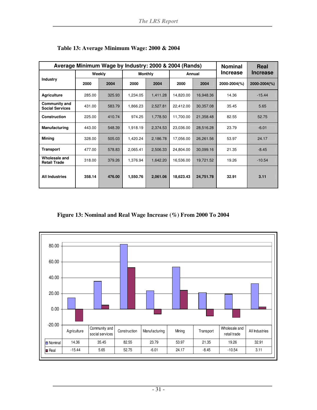| Average Minimum Wage by Industry: 2000 & 2004 (Rands) |        |        |                |          |           |           | <b>Nominal</b> | Real            |
|-------------------------------------------------------|--------|--------|----------------|----------|-----------|-----------|----------------|-----------------|
|                                                       |        | Weekly | <b>Monthly</b> |          | Annual    |           | Increase       | <b>Increase</b> |
| Industry                                              | 2000   | 2004   | 2000           | 2004     | 2000      | 2004      | 2000-2004(%)   | 2000-2004(%)    |
| <b>Agriculture</b>                                    | 285.00 | 325.93 | 1,234.05       | 1,411.28 | 14,820.00 | 16,948.36 | 14.36          | $-15.44$        |
| Community and<br><b>Social Services</b>               | 431.00 | 583.79 | 1,866.23       | 2,527.81 | 22,412.00 | 30,357.08 | 35.45          | 5.65            |
| <b>Construction</b>                                   | 225.00 | 410.74 | 974.25         | 1,778.50 | 11,700.00 | 21,358.48 | 82.55          | 52.75           |
| <b>Manufacturing</b>                                  | 443.00 | 548.39 | 1,918.19       | 2,374.53 | 23,036.00 | 28,516.28 | 23.79          | $-6.01$         |
| <b>Mining</b>                                         | 328.00 | 505.03 | 1,420.24       | 2,186.78 | 17,056.00 | 26,261.56 | 53.97          | 24.17           |
| <b>Transport</b>                                      | 477.00 | 578.83 | 2,065.41       | 2,506.33 | 24,804.00 | 30,099.16 | 21.35          | $-8.45$         |
| Wholesale and<br><b>Retail Trade</b>                  | 318.00 | 379.26 | 1,376.94       | 1,642.20 | 16,536.00 | 19,721.52 | 19.26          | $-10.54$        |
| <b>All Industries</b>                                 | 358.14 | 476.00 | 1,550.76       | 2,061.06 | 18,623.43 | 24,751.78 | 32.91          | 3.11            |

**Table 13: Average Minimum Wage: 2000 & 2004** 

**Figure 13: Nominal and Real Wage Increase (%) From 2000 To 2004** 

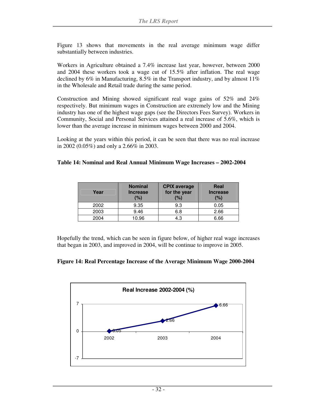Figure 13 shows that movements in the real average minimum wage differ substantially between industries.

Workers in Agriculture obtained a 7.4% increase last year, however, between 2000 and 2004 these workers took a wage cut of 15.5% after inflation. The real wage declined by  $6\%$  in Manufacturing,  $8.5\%$  in the Transport industry, and by almost  $11\%$ in the Wholesale and Retail trade during the same period.

Construction and Mining showed significant real wage gains of 52% and 24% respectively. But minimum wages in Construction are extremely low and the Mining industry has one of the highest wage gaps (see the Directors Fees Survey). Workers in Community, Social and Personal Services attained a real increase of 5.6%, which is lower than the average increase in minimum wages between 2000 and 2004.

Looking at the years within this period, it can be seen that there was no real increase in 2002 (0.05%) and only a 2.66% in 2003.

#### **Table 14: Nominal and Real Annual Minimum Wage Increases – 2002-2004**

| Year | <b>Nominal</b><br><b>Increase</b><br>(%) | <b>CPIX</b> average<br>for the year<br>(%) | Real<br><b>Increase</b><br>(%) |
|------|------------------------------------------|--------------------------------------------|--------------------------------|
| 2002 | 9.35                                     | 9.3                                        | 0.05                           |
| 2003 | 9.46                                     | 6.8                                        | 2.66                           |
| 2004 | 10.96                                    | 4.3                                        | 6.66                           |

Hopefully the trend, which can be seen in figure below, of higher real wage increases that began in 2003, and improved in 2004, will be continue to improve in 2005.



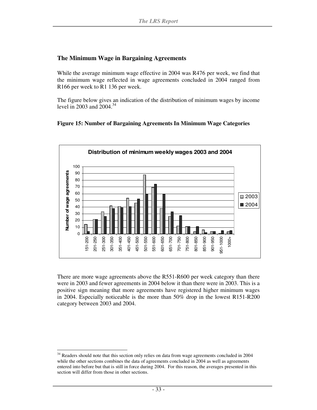#### **The Minimum Wage in Bargaining Agreements**

While the average minimum wage effective in 2004 was R476 per week, we find that the minimum wage reflected in wage agreements concluded in 2004 ranged from R166 per week to R1 136 per week.

The figure below gives an indication of the distribution of minimum wages by income level in 2003 and 2004.<sup>34</sup>





There are more wage agreements above the R551-R600 per week category than there were in 2003 and fewer agreements in 2004 below it than there were in 2003. This is a positive sign meaning that more agreements have registered higher minimum wages in 2004. Especially noticeable is the more than 50% drop in the lowest R151-R200 category between 2003 and 2004.

<sup>-</sup><sup>34</sup> Readers should note that this section only relies on data from wage agreements concluded in 2004 while the other sections combines the data of agreements concluded in 2004 as well as agreements entered into before but that is still in force during 2004. For this reason, the averages presented in this section will differ from those in other sections.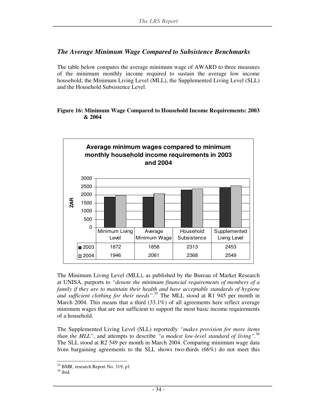#### *The Average Minimum Wage Compared to Subsistence Benchmarks*

The table below compares the average minimum wage of AWARD to three measures of the minimum monthly income required to sustain the average low income household; the Minimum Living Level (MLL), the Supplemented Living Level (SLL) and the Household Subsistence Level.

#### **Figure 16: Minimum Wage Compared to Household Income Requirements: 2003 & 2004**



The Minimum Living Level (MLL), as published by the Bureau of Market Research at UNISA, purports to *"denote the minimum financial requirements of members of a family if they are to maintain their health and have acceptable standards of hygiene and sufficient clothing for their needs"*. <sup>35</sup> The MLL stood at R1 945 per month in March 2004. This means that a third (33.1%) of all agreements here reflect average minimum wages that are not sufficient to support the most basic income requirements of a household.

The Supplemented Living Level (SLL) reportedly *"makes provision for more items than the MLL"*, and attempts to describe *"a modest low-level standard of living"*. 36 The SLL stood at R2 549 per month in March 2004. Comparing minimum wage data from bargaining agreements to the SLL shows two-thirds (66%) do not meet this

-

<sup>&</sup>lt;sup>35</sup> BMR, research Report No. 319, p1

 $36$  ibid.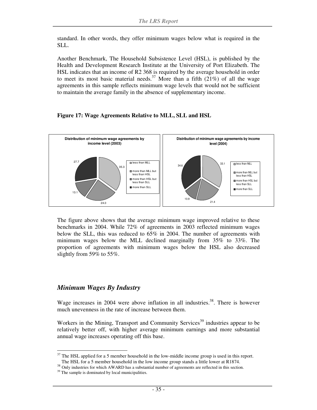standard. In other words, they offer minimum wages below what is required in the SLL.

Another Benchmark, The Household Subsistence Level (HSL), is published by the Health and Development Research Institute at the University of Port Elizabeth. The HSL indicates that an income of R2 368 is required by the average household in order to meet its most basic material needs.<sup>37</sup> More than a fifth  $(21\%)$  of all the wage agreements in this sample reflects minimum wage levels that would not be sufficient to maintain the average family in the absence of supplementary income.

#### **Figure 17: Wage Agreements Relative to MLL, SLL and HSL**



The figure above shows that the average minimum wage improved relative to these benchmarks in 2004. While 72% of agreements in 2003 reflected minimum wages below the SLL, this was reduced to 65% in 2004. The number of agreements with minimum wages below the MLL declined marginally from 35% to 33%. The proportion of agreements with minimum wages below the HSL also decreased slightly from 59% to 55%.

#### *Minimum Wages By Industry*

Wage increases in 2004 were above inflation in all industries.<sup>38</sup>. There is however much unevenness in the rate of increase between them.

Workers in the Mining, Transport and Community Services<sup>39</sup> industries appear to be relatively better off, with higher average minimum earnings and more substantial annual wage increases operating off this base.

-

 $37$  The HSL applied for a 5 member household in the low-middle income group is used in this report.

The HSL for a 5 member household in the low income group stands a little lower at R1874.

<sup>&</sup>lt;sup>38</sup> Only industries for which AWARD has a substantial number of agreements are reflected in this section.

<sup>&</sup>lt;sup>39</sup> The sample is dominated by local municipalities.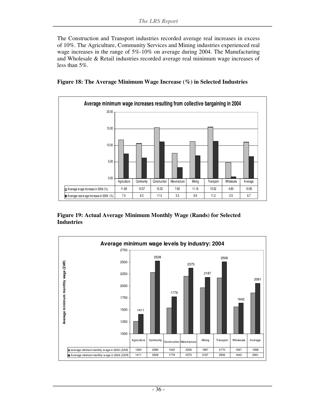The Construction and Transport industries recorded average real increases in excess of 10%. The Agriculture, Community Services and Mining industries experienced real wage increases in the range of 5%-10% on average during 2004. The Manufacturing and Wholesale & Retail industries recorded average real minimum wage increases of less than 5%.





**Figure 19: Actual Average Minimum Monthly Wage (Rands) for Selected Industries** 

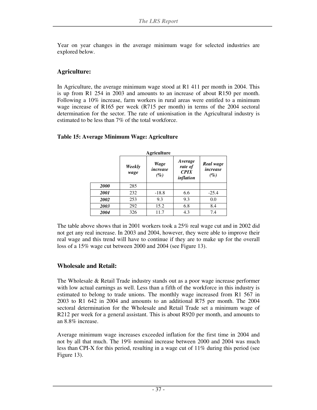Year on year changes in the average minimum wage for selected industries are explored below.

#### **Agriculture:**

In Agriculture, the average minimum wage stood at R1 411 per month in 2004. This is up from R1 254 in 2003 and amounts to an increase of about R150 per month. Following a 10% increase, farm workers in rural areas were entitled to a minimum wage increase of R165 per week (R715 per month) in terms of the 2004 sectoral determination for the sector. The rate of unionisation in the Agricultural industry is estimated to be less than 7% of the total workforce.

#### **Agriculture** *Weekly wage Wage increase (%) Average rate of CPIX inflation Real wage increase (%) 2000* 285 **2001** | 232 | -18.8 | 6.6 | -25.4 **2002** | 253 | 9.3 | 9.3 | 0.0 **2003** | 292 | 15.2 | 6.8 | 8.4 **2004** | 326 | 11.7 | 4.3 | 7.4

#### **Table 15: Average Minimum Wage: Agriculture**

The table above shows that in 2001 workers took a 25% real wage cut and in 2002 did not get any real increase. In 2003 and 2004, however, they were able to improve their real wage and this trend will have to continue if they are to make up for the overall loss of a 15% wage cut between 2000 and 2004 (see Figure 13).

#### **Wholesale and Retail:**

The Wholesale & Retail Trade industry stands out as a poor wage increase performer with low actual earnings as well. Less than a fifth of the workforce in this industry is estimated to belong to trade unions. The monthly wage increased from R1 567 in 2003 to R1 642 in 2004 and amounts to an additional R75 per month. The 2004 sectoral determination for the Wholesale and Retail Trade set a minimum wage of R212 per week for a general assistant. This is about R920 per month, and amounts to an 8.8% increase.

Average minimum wage increases exceeded inflation for the first time in 2004 and not by all that much. The 19% nominal increase between 2000 and 2004 was much less than CPI-X for this period, resulting in a wage cut of 11% during this period (see Figure 13).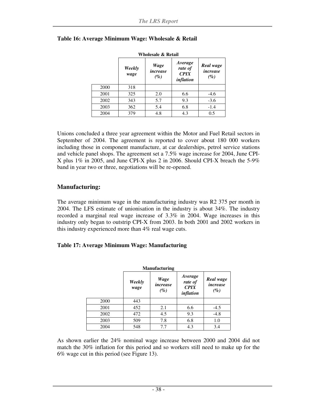| Wholesale & Retail |                |                            |                                         |                                 |  |  |  |
|--------------------|----------------|----------------------------|-----------------------------------------|---------------------------------|--|--|--|
|                    | Weekly<br>wage | Wage<br>increase<br>$(\%)$ | Average<br>rate of<br>CPIX<br>inflation | Real wage<br>increase<br>$(\%)$ |  |  |  |
| 2000               | 318            |                            |                                         |                                 |  |  |  |
| 2001               | 325            | 2.0                        | 6.6                                     | $-4.6$                          |  |  |  |
| 2002               | 343            | 5.7                        | 9.3                                     | $-3.6$                          |  |  |  |
| 2003               | 362            | 5.4                        | 6.8                                     | $-1.4$                          |  |  |  |
| 2004               | 379            | 4.8                        | 4.3                                     | 0.5                             |  |  |  |

#### **Table 16: Average Minimum Wage: Wholesale & Retail**

Unions concluded a three year agreement within the Motor and Fuel Retail sectors in September of 2004. The agreement is reported to cover about 180 000 workers including those in component manufacture, at car dealerships, petrol service stations and vehicle panel shops. The agreement set a 7.5% wage increase for 2004, June CPI-X plus 1% in 2005, and June CPI-X plus 2 in 2006. Should CPI-X breach the 5-9% band in year two or three, negotiations will be re-opened.

#### **Manufacturing:**

The average minimum wage in the manufacturing industry was R2 375 per month in 2004. The LFS estimate of unionisation in the industry is about 34%. The industry recorded a marginal real wage increase of 3.3% in 2004. Wage increases in this industry only began to outstrip CPI-X from 2003. In both 2001 and 2002 workers in this industry experienced more than 4% real wage cuts.

#### **Table 17: Average Minimum Wage: Manufacturing**

| <b>Manufacturing</b> |                |                            |                                                |                                 |  |  |
|----------------------|----------------|----------------------------|------------------------------------------------|---------------------------------|--|--|
|                      | Weekly<br>wage | Wage<br>increase<br>$(\%)$ | Average<br>rate of<br><b>CPIX</b><br>inflation | Real wage<br>increase<br>$(\%)$ |  |  |
| 2000                 | 443            |                            |                                                |                                 |  |  |
| 2001                 | 452            | 2.1                        | 6.6                                            | $-4.5$                          |  |  |
| 2002                 | 472            | 4.5                        | 9.3                                            | $-4.8$                          |  |  |
| 2003                 | 509            | 7.8                        | 6.8                                            | 1.0                             |  |  |
| 2004                 | 548            | 7.7                        | 4.3                                            | 3.4                             |  |  |

As shown earlier the 24% nominal wage increase between 2000 and 2004 did not match the 30% inflation for this period and so workers still need to make up for the 6% wage cut in this period (see Figure 13).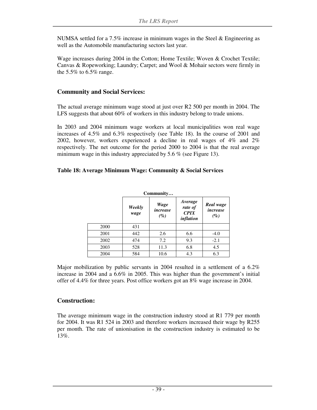NUMSA settled for a 7.5% increase in minimum wages in the Steel  $\&$  Engineering as well as the Automobile manufacturing sectors last year.

Wage increases during 2004 in the Cotton; Home Textile; Woven & Crochet Textile; Canvas & Ropeworking; Laundry; Carpet; and Wool & Mohair sectors were firmly in the  $5.5\%$  to  $6.5\%$  range.

#### **Community and Social Services:**

The actual average minimum wage stood at just over R2 500 per month in 2004. The LFS suggests that about 60% of workers in this industry belong to trade unions.

In 2003 and 2004 minimum wage workers at local municipalities won real wage increases of 4.5% and 6.3% respectively (see Table 18). In the course of 2001 and 2002, however, workers experienced a decline in real wages of 4% and 2% respectively. The net outcome for the period 2000 to 2004 is that the real average minimum wage in this industry appreciated by 5.6 % (see Figure 13).

#### **Table 18: Average Minimum Wage: Community & Social Services**

| Community |                |                         |                                                |                                 |  |  |  |
|-----------|----------------|-------------------------|------------------------------------------------|---------------------------------|--|--|--|
|           | Weekly<br>wage | Wage<br>increase<br>(%) | Average<br>rate of<br><b>CPIX</b><br>inflation | Real wage<br>increase<br>$(\%)$ |  |  |  |
| 2000      | 431            |                         |                                                |                                 |  |  |  |
| 2001      | 442            | 2.6                     | 6.6                                            | $-4.0$                          |  |  |  |
| 2002      | 474            | 7.2                     | 9.3                                            | $-2.1$                          |  |  |  |
| 2003      | 528            | 11.3                    | 6.8                                            | 4.5                             |  |  |  |
| 2004      | 584            | 10.6                    | 4.3                                            | 6.3                             |  |  |  |

Major mobilization by public servants in 2004 resulted in a settlement of a 6.2% increase in 2004 and a 6.6% in 2005. This was higher than the government's initial offer of 4.4% for three years. Post office workers got an 8% wage increase in 2004.

#### **Construction:**

The average minimum wage in the construction industry stood at R1 779 per month for 2004. It was R1 524 in 2003 and therefore workers increased their wage by R255 per month. The rate of unionisation in the construction industry is estimated to be 13%.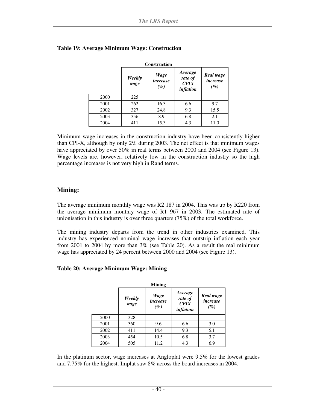| <b>Construction</b> |                |                            |                                         |                                 |  |  |
|---------------------|----------------|----------------------------|-----------------------------------------|---------------------------------|--|--|
|                     | Weekly<br>wage | Wage<br>increase<br>$(\%)$ | Average<br>rate of<br>CPIX<br>inflation | Real wage<br>increase<br>$(\%)$ |  |  |
| 2000                | 225            |                            |                                         |                                 |  |  |
| 2001                | 262            | 16.3                       | 6.6                                     | 9.7                             |  |  |
| 2002                | 327            | 24.8                       | 9.3                                     | 15.5                            |  |  |
| 2003                | 356            | 8.9                        | 6.8                                     | 2.1                             |  |  |
| 2004                | 411            | 15.3                       | 4.3                                     | 11.0                            |  |  |

#### **Table 19: Average Minimum Wage: Construction**

Minimum wage increases in the construction industry have been consistently higher than CPI-X, although by only 2% during 2003. The net effect is that minimum wages have appreciated by over 50% in real terms between 2000 and 2004 (see Figure 13). Wage levels are, however, relatively low in the construction industry so the high percentage increases is not very high in Rand terms.

#### **Mining:**

The average minimum monthly wage was R2 187 in 2004. This was up by R220 from the average minimum monthly wage of R1 967 in 2003. The estimated rate of unionisation in this industry is over three quarters (75%) of the total workforce.

The mining industry departs from the trend in other industries examined. This industry has experienced nominal wage increases that outstrip inflation each year from 2001 to 2004 by more than 3% (see Table 20). As a result the real minimum wage has appreciated by 24 percent between 2000 and 2004 (see Figure 13).

#### **Table 20: Average Minimum Wage: Mining**

|      |                | <b>Mining</b>                     |                                         |                                 |
|------|----------------|-----------------------------------|-----------------------------------------|---------------------------------|
|      | Weekly<br>wage | <b>Wage</b><br>increase<br>$(\%)$ | Average<br>rate of<br>CPIX<br>inflation | Real wage<br>increase<br>$(\%)$ |
| 2000 | 328            |                                   |                                         |                                 |
| 2001 | 360            | 9.6                               | 6.6                                     | 3.0                             |
| 2002 | 411            | 14.4                              | 9.3                                     | 5.1                             |
| 2003 | 454            | 10.5                              | 6.8                                     | 3.7                             |
| 2004 | 505            | 11.2                              | 4.3                                     | 6.9                             |

In the platinum sector, wage increases at Angloplat were 9.5% for the lowest grades and 7.75% for the highest. Implat saw 8% across the board increases in 2004.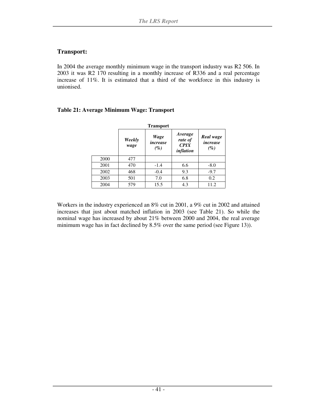#### **Transport:**

In 2004 the average monthly minimum wage in the transport industry was R2 506. In 2003 it was R2 170 resulting in a monthly increase of R336 and a real percentage increase of 11%. It is estimated that a third of the workforce in this industry is unionised.

#### **Table 21: Average Minimum Wage: Transport**

|      |                | <b>Transport</b>           |                                         |                                 |
|------|----------------|----------------------------|-----------------------------------------|---------------------------------|
|      | Weekly<br>wage | Wage<br>increase<br>$(\%)$ | Average<br>rate of<br>CPIX<br>inflation | Real wage<br>increase<br>$(\%)$ |
| 2000 | 477            |                            |                                         |                                 |
| 2001 | 470            | $-1.4$                     | 6.6                                     | $-8.0$                          |
| 2002 | 468            | $-0.4$                     | 9.3                                     | $-9.7$                          |
| 2003 | 501            | 7.0                        | 6.8                                     | 0.2                             |
| 2004 | 579            | 15.5                       | 4.3                                     | 11.2                            |

Workers in the industry experienced an 8% cut in 2001, a 9% cut in 2002 and attained increases that just about matched inflation in 2003 (see Table 21). So while the nominal wage has increased by about 21% between 2000 and 2004, the real average minimum wage has in fact declined by 8.5% over the same period (see Figure 13)).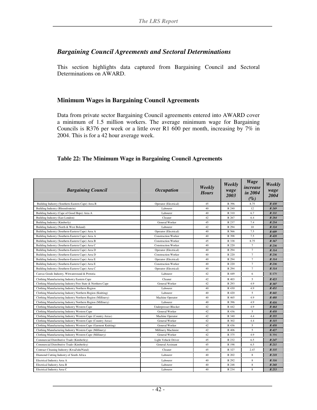#### *Bargaining Council Agreements and Sectoral Determinations*

This section highlights data captured from Bargaining Council and Sectoral Determinations on AWARD.

#### **Minimum Wages in Bargaining Council Agreements**

Data from private sector Bargaining Council agreements entered into AWARD cover a minimum of 1.5 million workers. The average minimum wage for Bargaining Councils is R376 per week or a little over R1 600 per month, increasing by 7% in 2004. This is for a 42 hour average week.

#### **Table 22: The Minimum Wage in Bargaining Council Agreements**

| <b>Bargaining Council</b>                                       | <b>Occupation</b>           | Weekly<br><b>Hours</b> | Weekly<br>wage<br>2003 | <b>Wage</b><br>increase<br>in 2004<br>$(\%)$ | Weekly<br>wage<br>2004 |
|-----------------------------------------------------------------|-----------------------------|------------------------|------------------------|----------------------------------------------|------------------------|
| Building Industry (Southern-Eastern Cape) Area B                | Operator (Electrical)       | 45                     | R 396                  | 8.75                                         | R 430                  |
| Building Industry (Bloemfontein)                                | Labourer                    | 40                     | R 240                  | 12                                           | R 269                  |
| Building Industry (Cape of Good Hope) Area A                    | Labourer                    | 40                     | R 310                  | 6.7                                          | R 331                  |
| Building Industry (East London)                                 | Cleaner                     | 42                     | R 267                  | 6.4                                          | R 284                  |
| Building Industry (Kimberly)                                    | General Worker              | 45                     | R 237                  | 7.4                                          | R 254                  |
| Building Industry (North & West Boland)                         | Labourer                    | 42                     | R 294                  | 10                                           | R 324                  |
| Building Industry (Southern-Eastern Cape) Area A                | Operator (Electrical)       | 40                     | R 566                  | 7.5                                          | R 609                  |
| Building Industry (Southern-Eastern Cape) Area A                | <b>Construction Worker</b>  | 40                     | R 398                  | 7.5                                          | R 428                  |
| Building Industry (Southern-Eastern Cape) Area B                | <b>Construction Worker</b>  | 45                     | R 338                  | 8.75                                         | R 367                  |
| Building Industry (Southern-Eastern Cape) Area C                | <b>Construction Worker</b>  | 40                     | R 220                  | $\overline{7}$                               | R 236                  |
| Building Industry (Southern-Eastern Cape) Area D                | Operator (Electrical)       | 40                     | R 294                  | $\overline{7}$                               | R 314                  |
| Building Industry (Southern-Eastern Cape) Area D                | <b>Construction Worker</b>  | 40                     | R 220                  | $\overline{7}$                               | R 236                  |
| Building Industry (Southern-Eastern Cape) Area E                | Operator (Electrical)       | 40                     | R 294                  | 7                                            | R 314                  |
| Building Industry (Southern-Eastern Cape) Area E                | <b>Construction Worker</b>  | 40                     | R 220                  | $\overline{7}$                               | R 236                  |
| Building Industry (Southern-Eastern Cape) Area C                | Operator (Electrical)       | 40                     | R 294                  | $\overline{7}$                               | R 314                  |
| Canvas Goods Industry, Witwatersrand & Pretoria                 | Labourer                    | 42                     | R 449                  | 6                                            | R 479                  |
| Clothing Manufacturing Industry Eastern Cape                    | Cleaner                     | 42                     | R 403                  | 5                                            | R 423                  |
| Clothing Manufacturing Industry Free State & Northern Cape      | General Worker              | 42                     | R 293                  | 4.9                                          | R 307                  |
| Clothing Manufacturing Industry Northern Region                 | Labourer                    | 40                     | R 430                  | 4.9                                          | R 451                  |
| Clothing Manufacturing Industry Northern Region (Knitting)      | Labourer                    | 40                     | R 420                  | 5                                            | R 441                  |
| Clothing Manufacturing Industry Northern Region (Millinery)     | Machine Operator            | 40                     | R 465                  | 4.9                                          | R 488                  |
| Clothing Manufacturing Industry Northern Region (Millinery)     | Labourer                    | 40                     | R 396                  | 4.9                                          | R 416                  |
| Clothing Manufacturing Industry Western Cape                    | <b>Underpresser Blocker</b> | 42                     | R 442                  | 4.9                                          | R 464                  |
| Clothing Manufacturing Industry Western Cape                    | General Worker              | 42                     | R 436                  | 5                                            | R 458                  |
| Clothing Manufacturing Industry Western Cape (Country Areas)    | Machine Operator            | 42                     | R 340                  | 4.4                                          | R 355                  |
| Clothing Manufacturing Industry Western Cape (Country Areas)    | General Worker              | 42                     | R 302                  | 4.4                                          | R 315                  |
| Clothing Manufacturing Industry Western Cape (Garment Knitting) | General Worker              | 42                     | R 436                  | 5                                            | R 458                  |
| Clothing Manufacturing Industry Western Cape (Millinery)        | Millinery Machinist         | 42                     | R 406                  | 5                                            | R 427                  |
| Clothing Manufacturing Industry Western Cape (Millinery)        | General Worker              | 42                     | R 375                  | 4.9                                          | R 394                  |
| Commercial Distributive Trade (Kimberley)                       | Light Vehicle Driver        | 45                     | R 232                  | 6.5                                          | R 247                  |
| Commercial Distributive Trade (Kimberley)                       | General Assistant           | 45                     | R 198                  | 6.5                                          | R 211                  |
| Contract Cleaning Industry (KwaZulu/Natal)                      | Cleaner                     | 45                     | R 327                  | 2.47                                         | R 335                  |
| Diamond Cutting Industry of South Africa                        | Labourer                    | 40                     | R 202                  | 8                                            | R 218                  |
| Electrical Industry Area A                                      | Labourer                    | 40                     | R 292                  | 8                                            | R 316                  |
| Electrical Industry Area B                                      | Labourer                    | 40                     | R 248                  | 8                                            | R 268                  |
| Electrical Industry Area C                                      | Labourer                    | 40                     | R 234                  | 8                                            | R 253                  |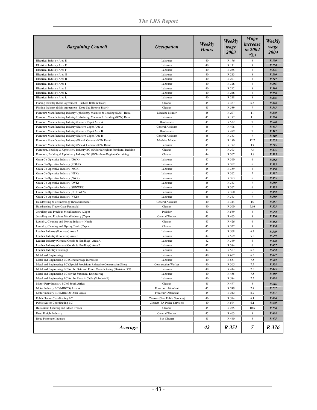*The LRS Report* 

| <b>Bargaining Council</b>                                                       | <b>Occupation</b>              | Weekly<br><b>Hours</b> | Weekly<br>wage<br>2003 | <b>Wage</b><br><i>increase</i><br>in 2004<br>$(\%)$ | Weekly<br>wage<br>2004 |
|---------------------------------------------------------------------------------|--------------------------------|------------------------|------------------------|-----------------------------------------------------|------------------------|
| Electrical Industry Area D                                                      | Labourer                       | 40                     | R 176                  | 8                                                   | R 190                  |
| Electrical Industry Area E                                                      | Labourer                       | 40                     | R 171                  | $\,$ 8 $\,$                                         | R 184                  |
| Electrical Industry Area F                                                      | Labourer                       | 40                     | R 255                  | 8                                                   | R 275                  |
| Electrical Industry Area G                                                      | Labourer                       | 40                     | R 213                  | 8                                                   | R 230                  |
| Electrical Industry Area H                                                      | Labourer                       | 40                     | R 201                  | $\,$ 8 $\,$                                         | R 217                  |
| Electrical Industry Area I                                                      | Labourer                       | 40                     | R 328                  | $\,$ 8 $\,$                                         | R 355                  |
| Electrical Industry Area J                                                      | Labourer                       | 40                     | R 292                  | $\,$ 8 $\,$                                         | R 316                  |
| Electrical Industry Area K                                                      | Labourer                       | 40                     | R 248                  | $\,$ 8 $\,$                                         | R 268                  |
| Electrical Industry Area L                                                      | Labourer                       | 40                     | R 218                  | $\,$ 8 $\,$                                         | R 236                  |
| Fishing Industry (Main Agreement - Inshore Bottom Trawl)                        | Cleaner                        | 45                     | R 327                  | 6.5                                                 | R 348                  |
| Fishing Industry (Main Agreement -Deep Sea Bottom Trawl)                        | Cleaner                        | 45                     | R 339                  | $\overline{7}$                                      | R 363                  |
| Furniture Manufacturing Industry Upholstery, Mattress & Bedding (KZN) Rural     | Machine Minder                 | 45                     | R 207                  | 11                                                  | R 230                  |
| Furniture Manufacturing Industry Upholstery, Mattress & Bedding (KZN) Rural     | Labourer                       | 45                     | R 197                  | 11                                                  | R 220                  |
| Furniture Manufacturing Industry (Eastern Cape) Area A                          | Handsander                     | 45                     | R 532                  | $\overline{7}$                                      | R 570                  |
| Furniture Manufacturing Industry (Eastern Cape) Area A                          | General Assistant              | 45                     | R 408                  | $\overline{7}$                                      | R 437                  |
| Furniture Manufacturing Industry (Eastern Cape) Area B                          | Handsander                     | 45                     | R 479                  | $\overline{7}$                                      | R 512                  |
| Furniture Manufacturing Industry (Eastern Cape) Area B                          | General Assistant              | 45                     | R 383                  | $\overline{7}$                                      | R 410                  |
| Furniture Manufacturing Industry (Pine & General) KZN Rural                     | Machine Minder                 | 45                     | R 180                  | 12.7                                                | R 203                  |
| Furniture Manufacturing Industry (Pine & General) KZN Rural                     | Labourer                       | 45                     | R 172                  | 13                                                  | R 195                  |
| Furniture, Bedding & Upholstery Industry BC (G/North Region) Furniture, Bedding | Cleaner                        | 44                     | R 303                  | 7.4                                                 | R 325                  |
| Furniture, Bedding & Upholstery Industry BC (G/Northern Region) Curtaining      | Cleaner                        | 44                     | R 307                  | 5.8                                                 | R 325                  |
| Grain Co-Operative Industry (GWK)                                               | Labourer                       | 45                     | R 360                  | 6                                                   | R 382                  |
| Grain Co-Operative Industry (KOLK)                                              | Labourer                       | 45                     | R 362                  | 6                                                   | R 383                  |
| Grain Co-Operative Industry (MGK)                                               | Labourer                       | 45                     | R 359                  | 6                                                   | R 380                  |
| Grain Co-Operative Industry (NTK)                                               | Labourer                       | 45                     | R 362                  | $\overline{7}$                                      | R 387                  |
| Grain Co-Operative Industry (NWK)                                               | Labourer                       | 45                     | R 363                  | 6                                                   | R 385                  |
| Grain Co-Operative Industry (OVK)                                               | Labourer                       | 45                     | R 363                  | $\overline{7}$                                      | R 389                  |
| Grain Co-Operative Industry (SENWES)                                            | Labourer                       | 45                     | R 362                  | 6                                                   | R 383                  |
| Grain Co-Operative Industry (SUIDWES)                                           | Labourer                       | 45                     | R 360                  | 6                                                   | R 382                  |
| Grain Co-Operative Industry (VKB)                                               | Labourer                       | 45                     | R 363                  | $\overline{7}$                                      | R 389                  |
| Hairdressing & Cosmetology (KwaZulu/Natal)                                      | General Assistant              | 40                     | R 314                  | 15                                                  | R 361                  |
| Hairdressing Trade (Cape Peninsula)                                             | Cleaner                        | 40                     | R 300                  | 7.66                                                | R 323                  |
| Jewellery and Precious Metal Industry (Cape)                                    | Polisher                       | 43                     | R 539                  | 8                                                   | R 582                  |
| Jewellery and Precious Metal Industry (Cape)                                    | General Worker                 | 43                     | R 463                  | 8                                                   | <b>R</b> 500           |
| Laundry, Cleaning and Dyeing Industry (Natal)                                   | Cleaner                        | 45                     | R 426                  | 6                                                   | R 452                  |
| Laundry, Cleaning and Dyeing Trade (Cape)                                       | Cleaner                        | 45                     | R 337                  | $\,$ 8 $\,$                                         | R 364                  |
| Leather Industry (Footwear) Area A                                              | Labourer                       | 42                     | R 508                  | 6.3                                                 | R 540                  |
| Leather Industry (Footwear) Area B                                              | Labourer                       | 42                     | R 559                  | 5.5                                                 | R 589                  |
| Leather Industry (General Goods & Handbags) Area A                              | Labourer                       | 42                     | R 349                  | 6                                                   | R 370                  |
| Leather Industry (General Goods & Handbags) Area B                              | Labourer                       | 42                     | R 384                  | 6                                                   | R 407                  |
| Leather Industry (Tanning)                                                      | Labourer                       | 42                     | R 567                  | 6.5                                                 | R 604                  |
| Metal and Engineering                                                           | Labourer                       | 40                     | R 607                  | 6.5                                                 | R 647                  |
| Metal and Engineering BC (General wage increases)                               | Labourer                       | 40                     | R 551                  | 7.5                                                 | R 592                  |
| Metal and Engineering BC (Special Provisions Related to Construction Sites)     | <b>Construction Worker</b>     | 40                     | R 305                  | 7.5                                                 | R 328                  |
| Metal and Engineering BC for the Gate and Fence Manufacturing (Division D/7)    | Labourer                       | 40                     | R 414                  | 7.5                                                 | R 445                  |
| Metal and Engineering BC for the Structural Engineering                         | Labourer                       | 40                     | R 455                  | 7.5                                                 | R 489                  |
| Metal and Engineering BC for the Electric Cable (Schedule F)                    | Labourer                       | 40                     | R 584                  | 7.5                                                 | R 628                  |
| Motor Ferry Industry BC of South Africa                                         | Cleaner                        | 45                     | R 477                  | 8                                                   | R 516                  |
| Motor Industry BC (MIBCO) Area A                                                | Forecourt Attendant            | 45                     | R 249                  | 7.4                                                 | R 267                  |
| Motor Industry BC (MIBCO) Other Areas                                           | Forecourt Attendant            | 45                     | R 212                  | 8.7                                                 | R 231                  |
| Public Sector Coordinating BC                                                   | Cleaner (Core Public Services) | 40                     | R 594                  | 6.1                                                 | R 630                  |
| Public Sector Coordinating BC                                                   | Cleaner (SA Police Services)   | 40                     | R 594                  | 6.1                                                 | R 630                  |
| Restaurant, Catering and Allied Trades                                          | Cleaner                        | 45                     | R 235                  | 10.6                                                | R 260                  |
| Road Freight Industry                                                           | General Worker                 | 45                     | R 403                  | 8                                                   | R 438                  |
| Road Passenger Industry                                                         | <b>Bus Cleaner</b>             | 45                     | R 440                  | 8                                                   | R 475                  |
|                                                                                 |                                |                        |                        |                                                     |                        |
| Average                                                                         |                                | 42                     | R 351                  | $\overline{7}$                                      | R 376                  |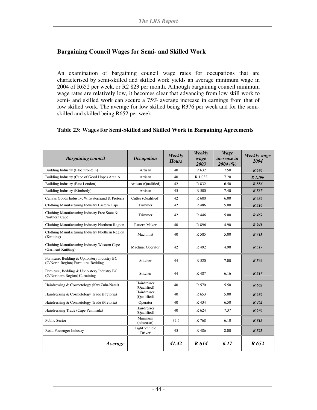#### **Bargaining Council Wages for Semi- and Skilled Work**

An examination of bargaining council wage rates for occupations that are characterised by semi-skilled and skilled work yields an average minimum wage in 2004 of R652 per week, or R2 823 per month. Although bargaining council minimum wage rates are relatively low, it becomes clear that advancing from low skill work to semi- and skilled work can secure a 75% average increase in earnings from that of low skilled work. The average for low skilled being R376 per week and for the semiskilled and skilled being R652 per week.

#### **Table 23: Wages for Semi-Skilled and Skilled Work in Bargaining Agreements**

| <b>Bargaining council</b>                                                          | <i><b>Occupation</b></i>   | Weekly<br><b>Hours</b> | Weekly<br>wage<br>2003 | Wage<br><i>increase in</i><br>2004(%) | Weekly wage<br>2004 |
|------------------------------------------------------------------------------------|----------------------------|------------------------|------------------------|---------------------------------------|---------------------|
| Building Industry (Bloemfontein)                                                   | Artisan                    | 40                     | R 632                  | 7.50                                  | R 680               |
| Building Industry (Cape of Good Hope) Area A                                       | Artisan                    | 40                     | R 1.032                | 7.20                                  | R 1,106             |
| Building Industry (East London)                                                    | Artisan (Qualified)        | 42                     | R 832                  | 6.50                                  | R 886               |
| Building Industry (Kimberly)                                                       | Artisan                    | 45                     | R 500                  | 7.40                                  | R 537               |
| Canvas Goods Industry, Witwatersrand & Pretoria                                    | Cutter (Qualified)         | 42                     | R 600                  | 6.00                                  | R 636               |
| Clothing Manufacturing Industry Eastern Cape                                       | Trimmer                    | 42                     | R 486                  | 5.00                                  | R 510               |
| Clothing Manufacturing Industry Free State &<br>Northern Cape                      | Trimmer                    | 42                     | R 446                  | 5.00                                  | R <sub>469</sub>    |
| Clothing Manufacturing Industry Northern Region                                    | Pattern Maker              | 40                     | R 896                  | 4.90                                  | R 941               |
| Clothing Manufacturing Industry Northern Region<br>(Knitting)                      | Machinist                  | 40                     | R 585                  | 5.00                                  | R 615               |
| Clothing Manufacturing Industry Western Cape<br>(Garment Knitting)                 | Machine Operator           | 42                     | R 492                  | 4.90                                  | R 517               |
| Furniture, Bedding & Upholstery Industry BC<br>(G/North Region) Furniture, Bedding | Stitcher                   | 44                     | R 520                  | 7.00                                  | R 566               |
| Furniture, Bedding & Upholstery Industry BC<br>(G/Northern Region) Curtaining      | Stitcher                   | 44                     | R 487                  | 6.16                                  | R 517               |
| Hairdressing & Cosmetology (KwaZulu-Natal)                                         | Hairdresser<br>(Oualified) | 40                     | R 570                  | 5.50                                  | R 602               |
| Hairdressing & Cosmetology Trade (Pretoria)                                        | Hairdresser<br>(Qualified) | 40                     | R 653                  | 5.00                                  | R 686               |
| Hairdressing & Cosmetology Trade (Pretoria)                                        | Operator                   | 40                     | R 434                  | 6.50                                  | R 462               |
| Hairdressing Trade (Cape Peninsula)                                                | Hairdresser<br>(Qualified) | 40                     | R 624                  | 7.37                                  | R 670               |
| <b>Public Sector</b>                                                               | Minimum<br>(educator)      | 37.5                   | R 768                  | 6.10                                  | R 815               |
| Road Passenger Industry                                                            | Light Vehicle<br>Driver    | 45                     | R 486                  | 8.00                                  | R 525               |
| Average                                                                            |                            | 41.42                  | R 614                  | 6.17                                  | R 652               |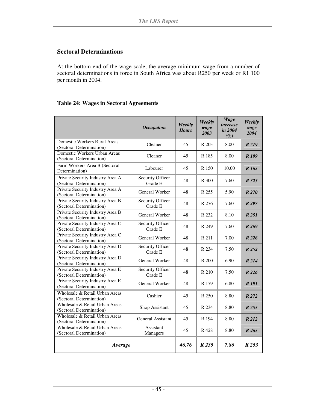#### **Sectoral Determinations**

At the bottom end of the wage scale, the average minimum wage from a number of sectoral determinations in force in South Africa was about R250 per week or R1 100 per month in 2004.

#### **Table 24: Wages in Sectoral Agreements**

|                                                              | <b>Occupation</b>           | Weekly<br><b>Hours</b> | Weekly<br>wage<br>2003 | <b>Wage</b><br>increase<br>in 2004<br>$(\%)$ | Weekly<br>wage<br>2004 |
|--------------------------------------------------------------|-----------------------------|------------------------|------------------------|----------------------------------------------|------------------------|
| Domestic Workers Rural Areas<br>(Sectoral Determination)     | Cleaner                     | 45                     | R 203                  | 8.00                                         | R 219                  |
| Domestic Workers Urban Areas<br>(Sectoral Determination)     | Cleaner                     | 45                     | R 185                  | 8.00                                         | R <sub>199</sub>       |
| Farm Workers Area B (Sectoral<br>Determination)              | Labourer                    | 45                     | R 150                  | 10.00                                        | R 165                  |
| Private Security Industry Area A<br>(Sectoral Determination) | Security Officer<br>Grade E | 48                     | R 300                  | 7.60                                         | R 323                  |
| Private Security Industry Area A<br>(Sectoral Determination) | General Worker              | 48                     | R 255                  | 5.90                                         | R270                   |
| Private Security Industry Area B<br>(Sectoral Determination) | Security Officer<br>Grade E | 48                     | R 276                  | 7.60                                         | R 297                  |
| Private Security Industry Area B<br>(Sectoral Determination) | General Worker              | 48                     | R 232                  | 8.10                                         | R 251                  |
| Private Security Industry Area C<br>(Sectoral Determination) | Security Officer<br>Grade E | 48                     | R 249                  | 7.60                                         | R 269                  |
| Private Security Industry Area C<br>(Sectoral Determination) | General Worker              | 48                     | R 211                  | 7.00                                         | R226                   |
| Private Security Industry Area D<br>(Sectoral Determination) | Security Officer<br>Grade E | 48                     | R 234                  | 7.50                                         | R252                   |
| Private Security Industry Area D<br>(Sectoral Determination) | General Worker              | 48                     | R 200                  | 6.90                                         | R 214                  |
| Private Security Industry Area E<br>(Sectoral Determination) | Security Officer<br>Grade E | 48                     | R 210                  | 7.50                                         | R 226                  |
| Private Security Industry Area E<br>(Sectoral Determination) | General Worker              | 48                     | R 179                  | 6.80                                         | R 191                  |
| Wholesale & Retail Urban Areas<br>(Sectoral Determination)   | Cashier                     | 45                     | R 250                  | 8.80                                         | R 272                  |
| Wholesale & Retail Urban Areas<br>(Sectoral Determination)   | Shop Assistant              | 45                     | R 234                  | 8.80                                         | R255                   |
| Wholesale & Retail Urban Areas<br>(Sectoral Determination)   | General Assistant           | 45                     | R 194                  | 8.80                                         | R 212                  |
| Wholesale & Retail Urban Areas<br>(Sectoral Determination)   | Assistant<br>Managers       | 45                     | R 428                  | 8.80                                         | R 465                  |
| Average                                                      |                             | 46.76                  | R 235                  | 7.86                                         | R 253                  |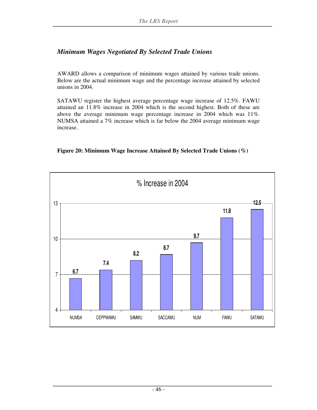#### *Minimum Wages Negotiated By Selected Trade Unions*

AWARD allows a comparison of minimum wages attained by various trade unions. Below are the actual minimum wage and the percentage increase attained by selected unions in 2004.

SATAWU register the highest average percentage wage increase of 12.5%. FAWU attained an 11.8% increase in 2004 which is the second highest. Both of these are above the average minimum wage percentage increase in 2004 which was 11%. NUMSA attained a 7% increase which is far below the 2004 average minimum wage increase.

#### **Figure 20: Minimum Wage Increase Attained By Selected Trade Unions (%)**

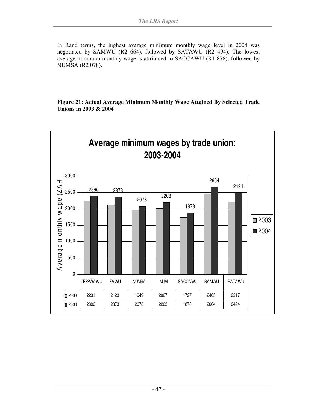In Rand terms, the highest average minimum monthly wage level in 2004 was negotiated by SAMWU (R2 664), followed by SATAWU (R2 494). The lowest average minimum monthly wage is attributed to SACCAWU (R1 878), followed by NUMSA (R2 078).

**Figure 21: Actual Average Minimum Monthly Wage Attained By Selected Trade Unions in 2003 & 2004** 

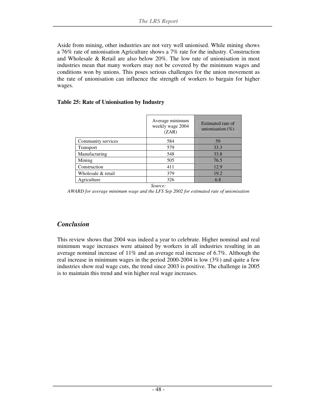Aside from mining, other industries are not very well unionised. While mining shows a 76% rate of unionisation Agriculture shows a 7% rate for the industry. Construction and Wholesale & Retail are also below 20%. The low rate of unionisation in most industries mean that many workers may not be covered by the minimum wages and conditions won by unions. This poses serious challenges for the union movement as the rate of unionisation can influence the strength of workers to bargain for higher wages.

#### **Table 25: Rate of Unionisation by Industry**

|                    | Average minimum<br>weekly wage 2004<br>(ZAR) | Estimated rate of<br>unionisation $(\% )$ |
|--------------------|----------------------------------------------|-------------------------------------------|
| Community services | 584                                          | 59                                        |
| <b>Transport</b>   | 579                                          | 33.3                                      |
| Manufacturing      | 548                                          | 33.8                                      |
| Mining             | 505                                          | 76.5                                      |
| Construction       | 411                                          | 12.9                                      |
| Wholesale & retail | 379                                          | 19.2                                      |
| Agriculture        | 326                                          | 6.8                                       |
|                    | Source:                                      |                                           |

*AWARD for average minimum wage and the LFS Sep 2002 for estimated rate of unionisation* 

#### *Conclusion*

This review shows that 2004 was indeed a year to celebrate. Higher nominal and real minimum wage increases were attained by workers in all industries resulting in an average nominal increase of 11% and an average real increase of 6.7%. Although the real increase in minimum wages in the period 2000-2004 is low (3%) and quite a few industries show real wage cuts, the trend since 2003 is positive. The challenge in 2005 is to maintain this trend and win higher real wage increases.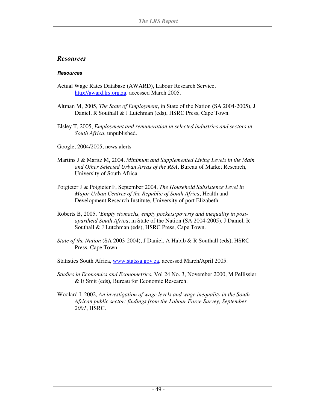#### *Resources*

#### **Resources**

- Actual Wage Rates Database (AWARD), Labour Research Service, http://award.lrs.org.za, accessed March 2005.
- Altman M, 2005, *The State of Employment*, in State of the Nation (SA 2004-2005), J Daniel, R Southall & J Lutchman (eds), HSRC Press, Cape Town.
- Elsley T, 2005, *Employment and remuneration in selected industries and sectors in South Africa*, unpublished.
- Google, 2004/2005, news alerts
- Martins J & Maritz M, 2004, *Minimum and Supplemented Living Levels in the Main and Other Selected Urban Areas of the RSA*, Bureau of Market Research, University of South Africa
- Potgieter J & Potgieter F, September 2004, *The Household Subsistence Level in Major Urban Centres of the Republic of South Africa*, Health and Development Research Institute, University of port Elizabeth.
- Roberts B, 2005, *'Empty stomachs, empty pockets:poverty and inequality in postapartheid South Africa*, in State of the Nation (SA 2004-2005), J Daniel, R Southall & J Lutchman (eds), HSRC Press, Cape Town.
- *State of the Nation* (SA 2003-2004), J Daniel, A Habib & R Southall (eds), HSRC Press, Cape Town.
- Statistics South Africa, www.statssa.gov.za, accessed March/April 2005.
- *Studies in Economics and Econometrics*, Vol 24 No. 3, November 2000, M Pellissier & E Smit (eds), Bureau for Economic Research.
- Woolard I, 2002, *An investigation of wage levels and wage inequality in the South African public sector: findings from the Labour Force Survey, September 2001*, HSRC.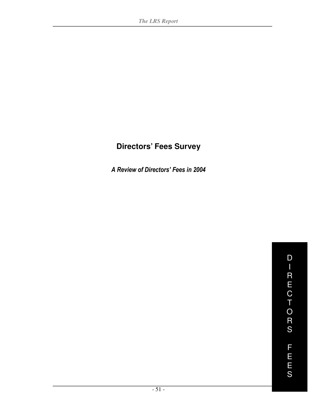# **Directors' Fees Survey**

A Review of Directors' Fees in 2004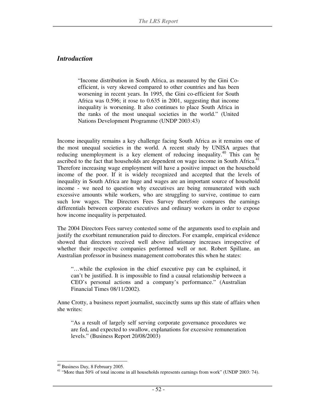#### *Introduction*

"Income distribution in South Africa, as measured by the Gini Coefficient, is very skewed compared to other countries and has been worsening in recent years. In 1995, the Gini co-efficient for South Africa was 0.596; it rose to 0.635 in 2001, suggesting that income inequality is worsening. It also continues to place South Africa in the ranks of the most unequal societies in the world." (United Nations Development Programme (UNDP 2003:43)

Income inequality remains a key challenge facing South Africa as it remains one of the most unequal societies in the world. A recent study by UNISA argues that reducing unemployment is a key element of reducing inequality.<sup>40</sup> This can be ascribed to the fact that households are dependent on wage income in South Africa. $41$ Therefore increasing wage employment will have a positive impact on the household income of the poor. If it is widely recognized and accepted that the levels of inequality in South Africa are huge and wages are an important source of household income - we need to question why executives are being remunerated with such excessive amounts while workers, who are struggling to survive, continue to earn such low wages. The Directors Fees Survey therefore compares the earnings differentials between corporate executives and ordinary workers in order to expose how income inequality is perpetuated.

The 2004 Directors Fees survey contested some of the arguments used to explain and justify the exorbitant remuneration paid to directors. For example, empirical evidence showed that directors received well above inflationary increases irrespective of whether their respective companies performed well or not. Robert Spillane, an Australian professor in business management corroborates this when he states:

"…while the explosion in the chief executive pay can be explained, it can't be justified. It is impossible to find a causal relationship between a CEO's personal actions and a company's performance." (Australian Financial Times 08/11/2002).

Anne Crotty, a business report journalist, succinctly sums up this state of affairs when she writes:

"As a result of largely self serving corporate governance procedures we are fed, and expected to swallow, explanations for excessive remuneration levels." (Business Report 20/08/2003)

-

<sup>40</sup> Business Day, 8 February 2005.

<sup>&</sup>lt;sup>41</sup> "More than 50% of total income in all households represents earnings from work" (UNDP 2003: 74).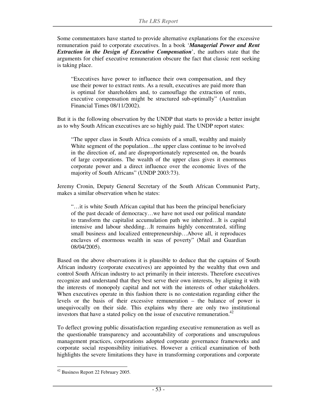Some commentators have started to provide alternative explanations for the excessive remuneration paid to corporate executives. In a book '*Managerial Power and Rent Extraction in the Design of Executive Compensation*', the authors state that the arguments for chief executive remuneration obscure the fact that classic rent seeking is taking place.

"Executives have power to influence their own compensation, and they use their power to extract rents. As a result, executives are paid more than is optimal for shareholders and, to camouflage the extraction of rents, executive compensation might be structured sub-optimally" (Australian Financial Times 08/11/2002).

But it is the following observation by the UNDP that starts to provide a better insight as to why South African executives are so highly paid. The UNDP report states:

"The upper class in South Africa consists of a small, wealthy and mainly White segment of the population…the upper class continue to be involved in the direction of, and are disproportionately represented on, the boards of large corporations. The wealth of the upper class gives it enormous corporate power and a direct influence over the economic lives of the majority of South Africans" (UNDP 2003:73).

Jeremy Cronin, Deputy General Secretary of the South African Communist Party, makes a similar observation when he states:

"…it is white South African capital that has been the principal beneficiary of the past decade of democracy…we have not used our political mandate to transform the capitalist accumulation path we inherited…It is capital intensive and labour shedding…It remains highly concentrated, stifling small business and localized entrepreneurship…Above all, it reproduces enclaves of enormous wealth in seas of poverty" (Mail and Guardian 08/04/2005).

Based on the above observations it is plausible to deduce that the captains of South African industry (corporate executives) are appointed by the wealthy that own and control South African industry to act primarily in their interests. Therefore executives recognize and understand that they best serve their own interests, by aligning it with the interests of monopoly capital and not with the interests of other stakeholders. When executives operate in this fashion there is no contestation regarding either the levels or the basis of their excessive remuneration – the balance of power is unequivocally on their side. This explains why there are only two institutional investors that have a stated policy on the issue of executive remuneration.<sup>42</sup>

To deflect growing public dissatisfaction regarding executive remuneration as well as the questionable transparency and accountability of corporations and unscrupulous management practices, corporations adopted corporate governance frameworks and corporate social responsibility initiatives. However a critical examination of both highlights the severe limitations they have in transforming corporations and corporate

<sup>-</sup><sup>42</sup> Business Report 22 February 2005.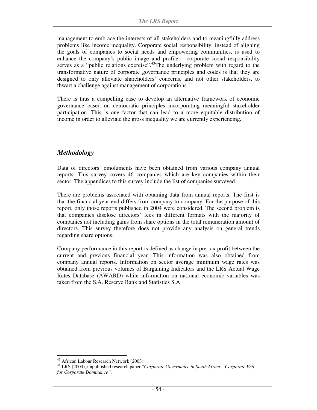management to embrace the interests of all stakeholders and to meaningfully address problems like income inequality. Corporate social responsibility, instead of aligning the goals of companies to social needs and empowering communities, is used to enhance the company's public image and profile – corporate social responsibility serves as a "public relations exercise".<sup>43</sup>The underlying problem with regard to the transformative nature of corporate governance principles and codes is that they are designed to only alleviate shareholders' concerns, and not other stakeholders, to thwart a challenge against management of corporations.<sup>44</sup>

There is thus a compelling case to develop an alternative framework of economic governance based on democratic principles incorporating meaningful stakeholder participation. This is one factor that can lead to a more equitable distribution of income in order to alleviate the gross inequality we are currently experiencing.

#### *Methodology*

Data of directors' emoluments have been obtained from various company annual reports. This survey covers 46 companies which are key companies within their sector. The appendices to this survey include the list of companies surveyed.

There are problems associated with obtaining data from annual reports. The first is that the financial year-end differs from company to company. For the purpose of this report, only those reports published in 2004 were considered. The second problem is that companies disclose directors' fees in different formats with the majority of companies not including gains from share options in the total remuneration amount of directors. This survey therefore does not provide any analysis on general trends regarding share options.

Company performance in this report is defined as change in pre-tax profit between the current and previous financial year. This information was also obtained from company annual reports. Information on sector average minimum wage rates was obtained from previous volumes of Bargaining Indicators and the LRS Actual Wage Rates Database (AWARD) while information on national economic variables was taken from the S.A. Reserve Bank and Statistics S.A.

<sup>-</sup><sup>43</sup> African Labour Research Network (2003).

<sup>44</sup> LRS (2004), unpublished research paper "*Corporate Governance in South Africa – Corporate Veil for Corporate Dominance".*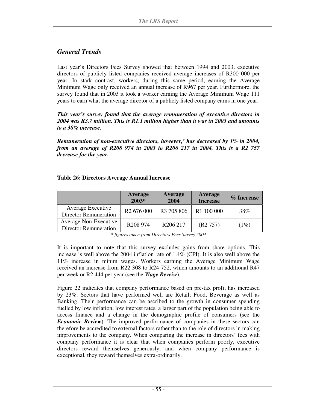#### *General Trends*

Last year's Directors Fees Survey showed that between 1994 and 2003, executive directors of publicly listed companies received average increases of R300 000 per year. In stark contrast, workers, during this same period, earning the Average Minimum Wage only received an annual increase of R967 per year. Furthermore, the survey found that in 2003 it took a worker earning the Average Minimum Wage 111 years to earn what the average director of a publicly listed company earns in one year.

*This year's survey found that the average remuneration of executive directors in 2004 was R3.7 million. This is R1.1 million higher than it was in 2003 and amounts to a 38% increase.*

*Remuneration of non-executive directors, however,' has decreased by 1% in 2004, from an average of R208 974 in 2003 to R206 217 in 2004. This is a R2 757 decrease for the year.* 

#### **Table 26: Directors Average Annual Increase**

|                                                              | Average<br>2003*       | Average<br>2004        | Average<br><b>Increase</b> | $\%$ Increase |
|--------------------------------------------------------------|------------------------|------------------------|----------------------------|---------------|
| Average Executive<br><b>Director Remuneration</b>            | R <sub>2</sub> 676 000 | R <sub>3</sub> 705 806 | R1 100 000                 | 38%           |
| <b>Average Non-Executive</b><br><b>Director Remuneration</b> | R <sub>208</sub> 974   | R <sub>206</sub> 217   | (R2 757)                   | (1%)          |

*\* figures taken from Directors Fees Survey 2004* 

It is important to note that this survey excludes gains from share options. This increase is well above the 2004 inflation rate of 1.4% (CPI). It is also well above the 11% increase in minim wages. Workers earning the Average Minimum Wage received an increase from R22 308 to R24 752, which amounts to an additional R47 per week or R2 444 per year (see the *Wage Reveiw*).

Figure 22 indicates that company performance based on pre-tax profit has increased by 23%. Sectors that have performed well are Retail; Food, Beverage as well as Banking. Their performance can be ascribed to the growth in consumer spending fuelled by low inflation, low interest rates, a larger part of the population being able to access finance and a change in the demographic profile of consumers (see the *Economic Review*). The improved performance of companies in these sectors can therefore be accredited to external factors rather than to the role of directors in making improvements to the company. When comparing the increase in directors' fees with company performance it is clear that when companies perform poorly, executive directors reward themselves generously, and when company performance is exceptional, they reward themselves extra-ordinarily.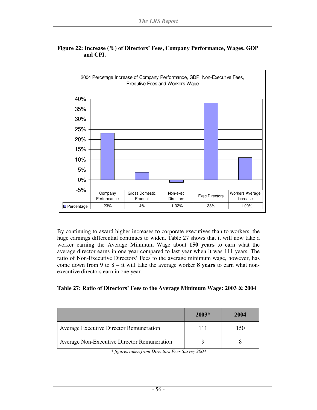

#### **Figure 22: Increase (%) of Directors' Fees, Company Performance, Wages, GDP and CPI.**

By continuing to award higher increases to corporate executives than to workers, the huge earnings differential continues to widen. Table 27 shows that it will now take a worker earning the Average Minimum Wage about **150 years** to earn what the average director earns in one year compared to last year when it was 111 years. The ratio of Non-Executive Directors' Fees to the average minimum wage, however, has come down from 9 to 8 – it will take the average worker **8 years** to earn what nonexecutive directors earn in one year.

| Table 27: Ratio of Directors' Fees to the Average Minimum Wage: 2003 & 2004 |  |  |
|-----------------------------------------------------------------------------|--|--|
|                                                                             |  |  |

|                                                | $2003*$ | 2004 |
|------------------------------------------------|---------|------|
| <b>Average Executive Director Remuneration</b> | 111     | 50   |
| Average Non-Executive Director Remuneration    |         |      |

*\* figures taken from Directors Fees Survey 2004*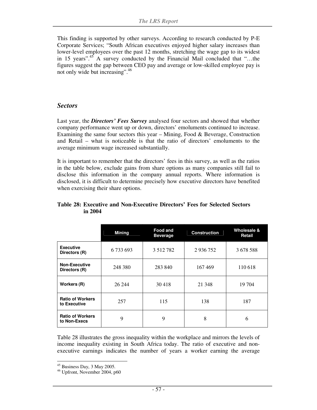This finding is supported by other surveys. According to research conducted by P-E Corporate Services; "South African executives enjoyed higher salary increases than lower-level employees over the past 12 months, stretching the wage gap to its widest in 15 years".<sup>45</sup> A survey conducted by the Financial Mail concluded that "...the figures suggest the gap between CEO pay and average or low-skilled employee pay is not only wide but increasing".<sup>46</sup>

#### *Sectors*

Last year, the *Directors' Fees Survey* analysed four sectors and showed that whether company performance went up or down, directors' emoluments continued to increase. Examining the same four sectors this year – Mining, Food & Beverage, Construction and Retail – what is noticeable is that the ratio of directors' emoluments to the average minimum wage increased substantially.

It is important to remember that the directors' fees in this survey, as well as the ratios in the table below, exclude gains from share options as many companies still fail to disclose this information in the company annual reports. Where information is disclosed, it is difficult to determine precisely how executive directors have benefited when exercising their share options.

|                                         | <b>Mining</b> | <b>Food and</b><br><b>Beverage</b> | <b>Construction</b> | Wholesale &<br>Retail |
|-----------------------------------------|---------------|------------------------------------|---------------------|-----------------------|
| <b>Executive</b><br>Directors (R)       | 6 733 693     | 3 5 1 2 7 8 2                      | 2 9 3 6 7 5 2       | 3 678 588             |
| <b>Non-Executive</b><br>Directors (R)   | 248 380       | 283 840                            | 167469              | 110 618               |
| Workers (R)                             | 26 244        | 30 418                             | 21 3 48             | 19 704                |
| <b>Ratio of Workers</b><br>to Executive | 257           | 115                                | 138                 | 187                   |
| <b>Ratio of Workers</b><br>to Non-Execs | 9             | 9                                  | 8                   | 6                     |

#### **Table 28: Executive and Non-Executive Directors' Fees for Selected Sectors in 2004**

Table 28 illustrates the gross inequality within the workplace and mirrors the levels of income inequality existing in South Africa today. The ratio of executive and nonexecutive earnings indicates the number of years a worker earning the average

<sup>-</sup> $45$  Business Day, 3 May 2005.

<sup>46</sup> Upfront, November 2004, p60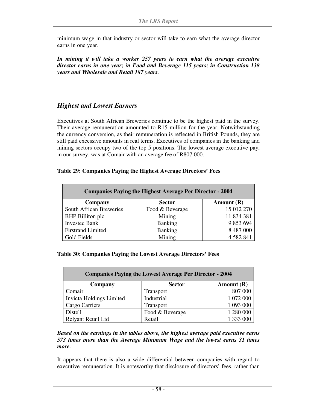minimum wage in that industry or sector will take to earn what the average director earns in one year.

In mining it will take a worker 257 years to earn what the average executive *director earns in one year; in Food and Beverage 115 years; in Construction 138 years and Wholesale and Retail 187 years.* 

#### *Highest and Lowest Earners*

Executives at South African Breweries continue to be the highest paid in the survey. Their average remuneration amounted to R15 million for the year. Notwithstanding the currency conversion, as their remuneration is reflected in British Pounds, they are still paid excessive amounts in real terms. Executives of companies in the banking and mining sectors occupy two of the top 5 positions. The lowest average executive pay, in our survey, was at Comair with an average fee of R807 000.

#### **Table 29: Companies Paying the Highest Average Directors' Fees**

| <b>Companies Paying the Highest Average Per Director - 2004</b> |                 |               |  |  |  |
|-----------------------------------------------------------------|-----------------|---------------|--|--|--|
| Company                                                         | <b>Sector</b>   | Amount $(R)$  |  |  |  |
| <b>South African Breweries</b>                                  | Food & Beverage | 15 012 270    |  |  |  |
| <b>BHP</b> Billiton plc                                         | Mining          | 11 834 381    |  |  |  |
| <b>Investec Bank</b>                                            | <b>Banking</b>  | 9 853 694     |  |  |  |
| <b>Firstrand Limited</b>                                        | <b>Banking</b>  | 8 487 000     |  |  |  |
| Gold Fields                                                     | Mining          | 4 5 8 2 8 4 1 |  |  |  |

#### **Table 30: Companies Paying the Lowest Average Directors' Fees**

| <b>Companies Paying the Lowest Average Per Director - 2004</b> |                  |            |  |  |
|----------------------------------------------------------------|------------------|------------|--|--|
| Company                                                        | <b>Sector</b>    | Amount (R) |  |  |
| Comair                                                         | <b>Transport</b> | 807 000    |  |  |
| Invicta Holdings Limited                                       | Industrial       | 1 072 000  |  |  |
| Cargo Carriers                                                 | <b>Transport</b> | 1 093 000  |  |  |
| Distell                                                        | Food & Beverage  | 1 280 000  |  |  |
| Relyant Retail Ltd                                             | Retail           | 1 333 000  |  |  |

*Based on the earnings in the tables above, the highest average paid executive earns 573 times more than the Average Minimum Wage and the lowest earns 31 times more.* 

It appears that there is also a wide differential between companies with regard to executive remuneration. It is noteworthy that disclosure of directors' fees, rather than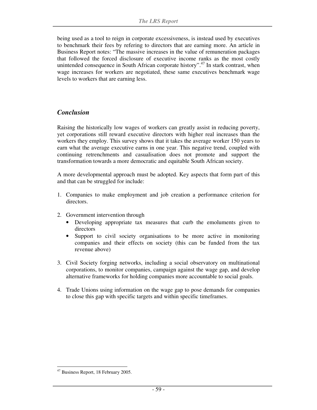being used as a tool to reign in corporate excessiveness, is instead used by executives to benchmark their fees by refering to directors that are earning more. An article in Business Report notes: "The massive increases in the value of remuneration packages that followed the forced disclosure of executive income ranks as the most costly unintended consequence in South African corporate history".<sup>47</sup> In stark contrast, when wage increases for workers are negotiated, these same executives benchmark wage levels to workers that are earning less.

#### *Conclusion*

Raising the historically low wages of workers can greatly assist in reducing poverty, yet corporations still reward executive directors with higher real increases than the workers they employ. This survey shows that it takes the average worker 150 years to earn what the average executive earns in one year. This negative trend, coupled with continuing retrenchments and casualisation does not promote and support the transformation towards a more democratic and equitable South African society.

A more developmental approach must be adopted. Key aspects that form part of this and that can be struggled for include:

- 1. Companies to make employment and job creation a performance criterion for directors.
- 2. Government intervention through
	- Developing appropriate tax measures that curb the emoluments given to directors
	- Support to civil society organisations to be more active in monitoring companies and their effects on society (this can be funded from the tax revenue above)
- 3. Civil Society forging networks, including a social observatory on multinational corporations, to monitor companies, campaign against the wage gap, and develop alternative frameworks for holding companies more accountable to social goals.
- 4. Trade Unions using information on the wage gap to pose demands for companies to close this gap with specific targets and within specific timeframes.

<sup>-</sup><sup>47</sup> Business Report, 18 February 2005.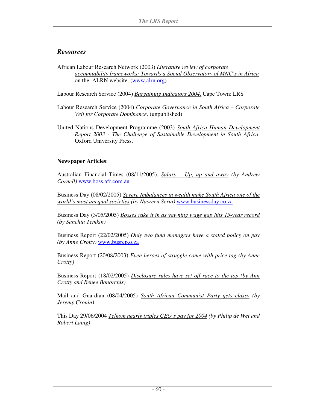#### *Resources*

African Labour Research Network (2003) *Literature review of corporate accountability frameworks: Towards a Social Observatory of MNC's in Africa*  on the ALRN website. (www.alrn.org)

Labour Research Service (2004) *Bargaining Indicators 2004.* Cape Town: LRS

- Labour Research Service (2004) *Corporate Governance in South Africa Corporate Veil for Corporate Dominance.* (unpublished)
- United Nations Development Programme (2003) *South Africa Human Development Report 2003 - The Challenge of Sustainable Development in South Africa*. Oxford University Press.

#### **Newspaper Articles**:

Australian Financial Times (08/11/2005). *Salary – Up, up and away (by Andrew Cornell)* www.boss.afr.com.au

Business Day (08/02/2005) *Severe Imbalances in wealth make South Africa one of the world's most unequal societies (by Nasreen Seria)* www.businessday.co.za

Business Day (3/05/2005) *Bosses rake it in as yawning wage gap hits 15-year record (by Sanchia Temkin)*

Business Report (22/02/2005) *Only two fund managers have a stated policy on pay (by Anne Crotty)* www.busrep.o.za

Business Report (20/08/2003) *Even heroes of struggle come with price tag (by Anne Crotty)*

Business Report (18/02/2005) *Disclosure rules have set off race to the top (by Ann Crotty and Renee Bonorchis)*

Mail and Guardian (08/04/2005) *South African Communist Party gets classy (by Jeremy Cronin)* 

This Day 29/06/2004 *Telkom nearly triples CEO's pay for 2004 (by Philip de Wet and Robert Laing)*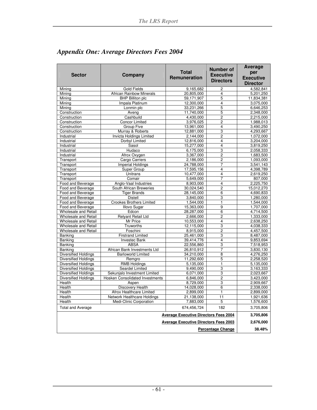| <b>Sector</b>               | Company                                | <b>Total</b><br><b>Remuneration</b> | Number of<br><b>Executive</b><br><b>Directors</b> | <b>Average</b><br>per<br><b>Executive</b><br><b>Director</b> |
|-----------------------------|----------------------------------------|-------------------------------------|---------------------------------------------------|--------------------------------------------------------------|
| Mining                      | <b>Gold Fields</b>                     | 9,165,682                           | $\overline{c}$                                    | 4,582,841                                                    |
| Mining                      | <b>African Rainbow Minerals</b>        | 20,805,000                          | $\overline{\mathbf{4}}$                           | 5,201,250                                                    |
| Minina                      | <b>BHP Billiton plc</b>                | 59.171.907                          | 5                                                 | 11,834,381                                                   |
| Minina                      | Impala Platinum                        | 12,300,000                          | $\overline{\mathbf{4}}$                           | 3,075,000                                                    |
| Mining                      | Lonmin plc                             | 33,231,266                          | 5                                                 | 6,646,253                                                    |
| Construction                | Aveng                                  | 11,740,000                          | 5                                                 | 2,348,000                                                    |
| Construction                | Cashbuild                              | 4,430,000                           | $\overline{c}$                                    | 2,215,000                                                    |
| Construction                | <b>Concor Limited</b>                  | 3,976,025                           | 2                                                 | 1,988,013                                                    |
| Construction                | Group Five                             | 13,961,000                          | $\overline{\mathbf{4}}$                           | 3,490,250                                                    |
| Construction                | Murray & Roberts                       | 12,881,000                          | 3                                                 | 4,293,667                                                    |
| Industrial                  | Invicta Holdings Limited               | 2,144,000                           | $\overline{2}$                                    | 1,072,000                                                    |
| Industrial                  | Dorbyl Limited                         | 12,816,000                          | $\overline{\mathbf{4}}$                           | 3,204,000                                                    |
| Industrial                  | Sasol                                  | 15,277,000                          | 4                                                 | 3,819,250                                                    |
| Industrial                  | Hudaco                                 | 6,175,000                           | 3                                                 | 2,058,333                                                    |
| Industrial                  | Afrox Oxygen                           | 3,367,000                           | $\overline{2}$                                    | 1,683,500                                                    |
| Transport                   | Cargo Carriers                         | 2,186,000                           | 2                                                 | 1,093,000                                                    |
| Transport                   | <b>Imperial Holdings</b>               | 24,788,000                          | 7                                                 | 3,541,143                                                    |
| Transport                   | Super Group                            | 17,595,156                          | 4                                                 | 4,398,789                                                    |
| Transport                   | Unitrans                               | 10,477,000                          | $\overline{4}$                                    | 2,619,250                                                    |
| Transport                   | Comair                                 | 5,649,000                           | 7                                                 | 807,000                                                      |
| Food and Beverage           | Anglo-Vaal Industries                  | 8,903,000                           | $\overline{\mathbf{4}}$                           | 2,225,750                                                    |
| Food and Beverage           | South African Breweries                | 30,024,540                          | $\overline{2}$                                    | 15,012,270                                                   |
| Food and Beverage           | <b>Tiger Brands</b>                    | 28,145,000                          | 6                                                 | 4,690,833                                                    |
| Food and Beverage           | <b>Distell</b>                         | 3,840,000                           | 3                                                 | 1,280,000                                                    |
| Food and Beverage           | <b>Crookes Brothers Limited</b>        | 1,544,000                           | ī                                                 | 1,544,000                                                    |
| Food and Beverage           | <b>Illovo Sugar</b>                    | 15,363,000                          | 9                                                 | 1,707,000                                                    |
| <b>Wholesale and Retail</b> | Edcon                                  | 28,287,000                          | 6                                                 | 4,714,500                                                    |
| <b>Wholesale and Retail</b> | <b>Relyant Retail Ltd</b>              | 2,666,000                           | 2                                                 | 1,333,000                                                    |
| <b>Wholesale and Retail</b> | Mr Price                               | 10,553,000                          | $\overline{\mathbf{4}}$                           | 2,638,250                                                    |
| <b>Wholesale and Retail</b> | Truworths                              | 12,115,000                          | 3                                                 | 4,038,333                                                    |
| <b>Wholesale and Retail</b> | Foschini                               | 8,915,000                           | 2                                                 | 4,457,500                                                    |
| <b>Banking</b>              | <b>Firstrand Limited</b>               | 25,461,000                          | 3                                                 | 8,487,000                                                    |
| Banking                     | <b>Investec Bank</b>                   | 39,414,776                          | 4                                                 | 9,853,694                                                    |
| Banking                     | <b>ABSA</b>                            | 22,556,860                          | 3                                                 | 7,518,953                                                    |
| Banking                     | African Bank Investments Ltd           | 26,810,912                          | $\overline{7}$                                    | 3.830.130                                                    |
| <b>Diversified Holdings</b> | <b>Barloworld Limited</b>              | 34,210,000                          | 8                                                 | 4,276,250                                                    |
| <b>Diversified Holdings</b> | Remgro                                 | 11,292,600                          | $\overline{5}$                                    | 2,258,520                                                    |
| <b>Diversified Holdings</b> | <b>RMB Holdings</b>                    | 5,135,000                           | 1                                                 | 5,135,000                                                    |
| <b>Diversified Holdings</b> | Seardel Limited                        | 9,490,000                           | 3                                                 | 3,163,333                                                    |
| <b>Diversified Holdings</b> | Sekunialo Investment Limited           | 6,071,000                           | 3                                                 | 2,023,667                                                    |
| <b>Diversified Holdings</b> | <b>Hosken Consolidated Investments</b> | 6,846,000                           | $\overline{2}$                                    | 3,423,000                                                    |
| Health                      | Aspen                                  | 8,729,000                           | 3                                                 | 2,909,667                                                    |
| Health                      | Discovery Health                       | 14,028,000                          | 6                                                 | 2,338,000                                                    |
| Health                      | Afrox Healthcare Limited               | 2,899,000                           | 1                                                 | 2,899,000                                                    |
| Health                      | Network Healthcare Holdings            | 21,138,000                          | 11                                                | 1,921,636                                                    |
| Health                      | Medi-Clinic Corporation                | 7,883,000                           | $\mathbf 5$                                       | 1,576,600                                                    |
| <b>Total and Average</b>    |                                        | 674,456,724                         | 182                                               | 3,705,806                                                    |
|                             | 3,705,806                              |                                     |                                                   |                                                              |
|                             | 2,676,000                              |                                     |                                                   |                                                              |
|                             | 38.48%                                 |                                     |                                                   |                                                              |

### *Appendix One: Average Directors Fees 2004*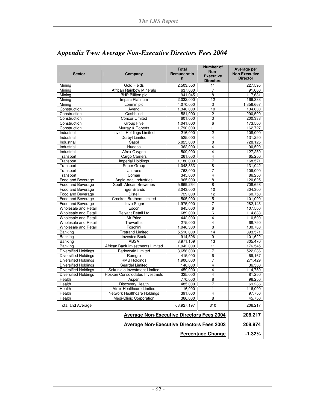| <b>Sector</b>               | Company                          | <b>Total</b><br>Remuneratio<br>$\mathbf n$ | Number of<br>Non-<br><b>Executive</b><br><b>Directors</b> | Average per<br><b>Non Executive</b><br><b>Director</b> |
|-----------------------------|----------------------------------|--------------------------------------------|-----------------------------------------------------------|--------------------------------------------------------|
| Mining                      | <b>Gold Fields</b>               | 2,503,550                                  | 11                                                        | 227,595                                                |
| Mining                      | <b>African Rainbow Minerals</b>  | 637,000                                    | $\overline{7}$                                            | 91,000                                                 |
| Mining                      | <b>BHP Billiton plc</b>          | 941,045                                    | $\overline{8}$                                            | 117,631                                                |
| Minina                      | Impala Platinum                  | 2,032,000                                  | 12                                                        | 169,333                                                |
| Mining                      | Lonmin plc                       | 4,070,000                                  | 3                                                         | 1,356,667                                              |
| Construction                | Aveng                            | 1,346,000                                  | 10                                                        | 134,600                                                |
| Construction                | Cashbuild                        | 581,000                                    | $\overline{c}$                                            | 290,500                                                |
| Construction                | <b>Concor Limited</b>            | 601.000                                    | 3                                                         | 200,333                                                |
| Construction                | Group Five                       | 1,041,000                                  | 6                                                         | 173,500                                                |
| Construction                | Murray & Roberts                 | 1,790,000                                  | 11                                                        | 162,727                                                |
| Industrial                  | Invicta Holdings Limited         | 216,000                                    | $\overline{c}$                                            | 108,000                                                |
| Industrial                  | Dorbyl Limited                   | 525,000                                    | 4                                                         | 131,250                                                |
| Industrial                  | Sasol                            | 5,825,000                                  | 8                                                         | 728,125                                                |
| Industrial                  | Hudaco                           | 362,000                                    | 4                                                         | 90,500                                                 |
| Industrial                  | Afrox Oxygen                     | 509,000                                    | 4                                                         | 127,250                                                |
| Transport                   | <b>Cargo Carriers</b>            | 261,000                                    | $\overline{4}$                                            | 65.250                                                 |
| Transport                   | Imperial Holdings                | 1,180,000                                  | $\overline{7}$                                            | 168,571                                                |
| Transport                   | Super Group                      | 1.048.333                                  | 8                                                         | 131,042                                                |
| Transport                   | Unitrans                         | 763,000                                    | 7                                                         | 109,000                                                |
| Transport                   | Comair                           | 345,000                                    | 4                                                         | 86,250                                                 |
| Food and Beverage           | Anglo-Vaal Industries            | 965,000                                    | 8                                                         | 120,625                                                |
| Food and Beverage           | South African Breweries          | 5,669,264                                  | 8                                                         | 708,658                                                |
| Food and Beverage           | <b>Tiger Brands</b>              | 3,043,000                                  | 10                                                        | 304,300                                                |
| Food and Beverage           | <b>Distell</b>                   | 729,000                                    | 12                                                        | 60,750                                                 |
| Food and Beverage           | <b>Crookes Brothers Limited</b>  | 505,000                                    | 5                                                         | 101,000                                                |
| Food and Beverage           | <b>Illovo Sugar</b>              | 1,975,000                                  | $\overline{7}$                                            | 282,143                                                |
| Wholesale and Retail        | Edcon                            | 645.000                                    | 6                                                         | 107,500                                                |
| Wholesale and Retail        | <b>Relyant Retail Ltd</b>        | 689,000                                    | 6                                                         | 114,833                                                |
| Wholesale and Retail        | Mr Price                         | 442,000                                    | 4                                                         | 110,500                                                |
| Wholesale and Retail        | Truworths                        | 275,000                                    | $\overline{\mathbf{4}}$                                   | 68,750                                                 |
| Wholesale and Retail        | Foschini                         | 1,046,300                                  | 8                                                         | 130,788                                                |
| Banking                     | <b>Firstrand Limited</b>         | 5,510,000                                  | 14                                                        | 393,571                                                |
| Banking                     | <b>Investec Bank</b>             | 914,596                                    | 9                                                         | 101,622                                                |
| Banking                     | <b>ABSA</b>                      | 3,971,109                                  | 13                                                        | 305,470                                                |
| <b>Banking</b>              | African Bank Investments Limited | 1,942,000                                  | 11                                                        | 176,545                                                |
| <b>Diversified Holdings</b> | <b>Barloworld Limited</b>        | 3,656,000                                  | 7                                                         | 522,286                                                |
| <b>Diversified Holdings</b> | Remgro                           | 415,000                                    | 6                                                         | 69,167                                                 |
| <b>Diversified Holdings</b> | <b>RMB Holdings</b>              | 1,900,000                                  | $\overline{7}$                                            | 271,429                                                |
| <b>Diversified Holdings</b> | Seardel Limited                  | 146,000                                    | $\overline{4}$                                            | 36,500                                                 |
| <b>Diversified Holdings</b> | Sekunjalo Investment Limited     | 459,000                                    | $\overline{4}$                                            | 114,750                                                |
| <b>Diversified Holdings</b> | Hosken Consolodated Investmets   | 325,000                                    | $\overline{4}$                                            | 81,250                                                 |
| <b>Health</b>               | Aspen                            | 770,000                                    | 8                                                         | 96,250                                                 |
| Health                      | Discovery Health                 | 485,000                                    | 7                                                         | 69,286                                                 |
| Health                      | Afrox Healthcare Limited         | 116,000                                    | 1                                                         | 116,000                                                |
| Health                      | Network Healthcare Holdings      | 391,000                                    | 4                                                         | 97,750                                                 |
| Health                      | Medi-Clinic Corporation          | 366,000                                    | 8                                                         | 45,750                                                 |
| <b>Total and Average</b>    |                                  | 63,927,197                                 | 310                                                       | 206,217                                                |
|                             | 206,217                          |                                            |                                                           |                                                        |
|                             | 208,974                          |                                            |                                                           |                                                        |
|                             | $-1.32%$                         |                                            |                                                           |                                                        |

### *Appendix Two: Average Non-Executive Directors Fees 2004*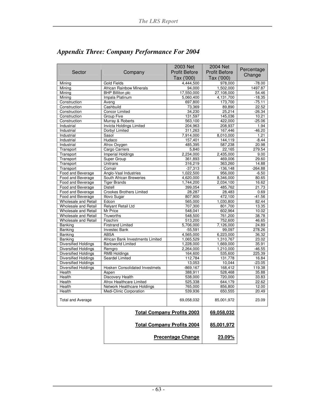|                             |                                       | 2003 Net             | 2004 Net             | Percentage |
|-----------------------------|---------------------------------------|----------------------|----------------------|------------|
| Sector                      | Company                               | <b>Profit Before</b> | <b>Profit Before</b> | Change     |
|                             |                                       | Tax ('000)           | Tax ('000)           |            |
| Mining                      | <b>Gold Fields</b>                    | 4,444,500            | 978,000              | -78.00     |
| Mining                      | <b>African Rainbow Minerals</b>       | 94,000               | 1,502,000            | 1497.87    |
| Mining                      | <b>BHP Billiton plc</b>               | 17,550,000           | 27,108,000           | 54.46      |
| Minina                      | Impala Platinum                       | 5,060,400            | 4,131,700            | $-18.35$   |
| Construction                | Aveng                                 | 697,800              | 173,700              | $-75.11$   |
| Construction                | Cashbuild                             | 73,369               | 89,890               | 22.52      |
| Construction                | <b>Concor Limited</b>                 | 34,230               | 25,214               | $-26.34$   |
| Construction                | Group Five                            | 131,597              | 145,036              | 10.21      |
| Construction                | Murray & Roberts                      | 563,100              | 422,000              | $-25.06$   |
| Industrial                  | <b>Invicta Holdings Limited</b>       | 204,963              | 208.937              | 1.94       |
| Industrial                  | Dorbyl Limited                        | 311,263              | 167,446              | $-46.20$   |
| Industrial                  | Sasol                                 | 7,914,000            | 8,010,000            | 1.21       |
| Industrial                  | Hudaco                                | 157,401              | 144,119              | $-8.44$    |
| Industrial                  | Afrox Oxygen                          | 485,395              | 587,238              | 20.98      |
| Transport                   | Cargo Carriers                        | 5,840                | 22,165               | 279.54     |
| Transport                   | <b>Imperial Holdings</b>              | 2,234,000            | 2,435,000            | 9.00       |
| Transport                   | Super Group                           | 361,893              | 469,006              | 29.60      |
| Transport                   | <b>Unitrans</b>                       | 316,219              | 363,260              | 14.88      |
| Transport                   | Comair                                | $-37,313$            | $-136.148$           | $-264.88$  |
| Food and Beverage           | Anglo-Vaal Industries                 | 1,022,500            | 956,000              | $-6.50$    |
| Food and Beverage           | South African Breweries               | 4,620,000            | 8.346.000            | 80.65      |
| Food and Beverage           | <b>Tiger Brands</b>                   | 1,744,200            | 2,034,100            | 16.62      |
| Food and Beverage           | <b>Distell</b>                        | 399,054              | 485.762              | 21.73      |
| Food and Beverage           | <b>Crookes Brothers Limited</b>       | 28,287               | 28,483               | 0.69       |
| Food and Beverage           | <b>Illovo Sugar</b>                   | 807,900              | 472,100              | $-41.56$   |
| <b>Wholesale and Retail</b> | Edcon                                 | 565,000              | 1,030,800            | 82.44      |
| <b>Wholesale and Retail</b> | <b>Relyant Retail Ltd</b>             | 707,300              | 801,700              | 13.35      |
| <b>Wholesale and Retail</b> | Mr Price                              | 548,041              | 602,964              | 10.02      |
| <b>Wholesale and Retail</b> | Truworths                             | 548,500              | 761,200              | 38.78      |
| <b>Wholesale and Retail</b> | Foschini                              | 513,200              | 752,600              | 46.65      |
| <b>Banking</b>              | <b>Firstrand Limited</b>              | 5,706,000            | 7,126,000            | 24.89      |
| <b>Banking</b>              | <b>Investec Bank</b>                  | $-55,591$            | 99,097               | 278.26     |
| <b>Banking</b>              | <b>ABSA</b>                           | 4,565,000            | 6,223,000            | 36.32      |
| <b>Banking</b>              | African Bank Investments Limited      | 1,065,529            | 1,310,767            | 23.02      |
| Diversified Holdings        | <b>Barloworld Limited</b>             | 1,228,000            | 1,669,000            | 35.91      |
| <b>Diversified Holdings</b> | Remgro                                | 2,264,000            | 1,210,000            | $-46.55$   |
| Diversified Holdings        | <b>RMB Holdings</b>                   | 164,600              | 535,600              | 225.39     |
| <b>Diversified Holdings</b> | Seardel Limited                       | 112,784              | 131,778              | 16.84      |
| <b>Diversified Holdings</b> |                                       | 13,053               | 10,044               | $-23.05$   |
| <b>Diversified Holdings</b> | <b>Hosken Consolidated Investmets</b> | -869,167             | 168,412              | 119.38     |
| Health                      | Aspen                                 | 388,911              | 528,468              | 35.88      |
| Health                      | Discovery Health                      | 538,000              | 720,000              | 33.83      |
| Health                      | Afrox Healthcare Limited              | 525,338              | 644,179              | 22.62      |
| Health                      | Network Healthcare Holdings           | 765,000              | 856,800              | 12.00      |
| Health                      | Medi-Clinic Corporation               | 539,936              | 650,555              | 20.49      |
|                             |                                       |                      |                      |            |
| <b>Total and Average</b>    |                                       | 69,058,032           | 85,001,972           | 23.09      |
|                             | <b>Total Company Profits 2003</b>     |                      | 69,058,032           |            |
|                             | <b>Total Company Profits 2004</b>     | 85,001,972           |                      |            |
|                             | <b>Precentage Change</b>              | 23.09%               |                      |            |

### *Appendix Three: Company Performance For 2004*